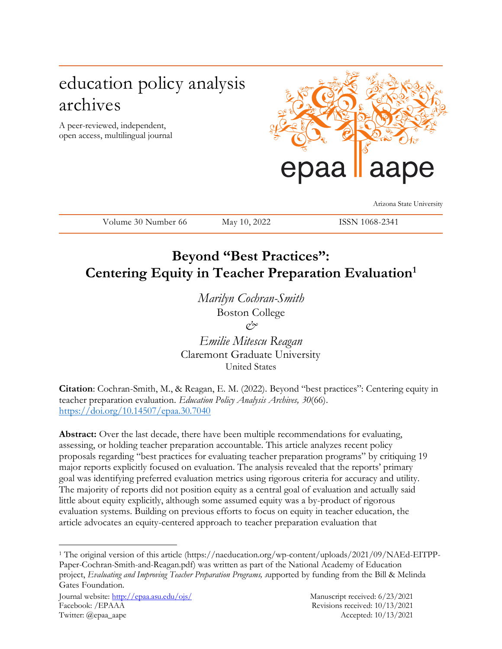# education policy analysis archives

A peer-reviewed, independent, open access, multilingual journal



Arizona State University

Volume 30 Number 66 May 10, 2022 ISSN 1068-2341

## **Beyond "Best Practices": Centering Equity in Teacher Preparation Evaluation<sup>1</sup>**

*Marilyn Cochran-Smith* Boston College *&*

*Emilie Mitescu Reagan* Claremont Graduate University United States

**Citation**: Cochran-Smith, M., & Reagan, E. M. (2022). Beyond "best practices": Centering equity in teacher preparation evaluation. *Education Policy Analysis Archives, 30*(66). <https://doi.org/10.14507/epaa.30.7040>

Abstract: Over the last decade, there have been multiple recommendations for evaluating, assessing, or holding teacher preparation accountable. This article analyzes recent policy proposals regarding "best practices for evaluating teacher preparation programs" by critiquing 19 major reports explicitly focused on evaluation. The analysis revealed that the reports' primary goal was identifying preferred evaluation metrics using rigorous criteria for accuracy and utility. The majority of reports did not position equity as a central goal of evaluation and actually said little about equity explicitly, although some assumed equity was a by-product of rigorous evaluation systems. Building on previous efforts to focus on equity in teacher education, the article advocates an equity-centered approach to teacher preparation evaluation that

 $\overline{a}$ <sup>1</sup> The original version of this article (https://naeducation.org/wp-content/uploads/2021/09/NAEd-EITPP-Paper-Cochran-Smith-and-Reagan.pdf) was written as part of the National Academy of Education project, *Evaluating and Improving Teacher Preparation Programs, s*upported by funding from the Bill & Melinda Gates Foundation.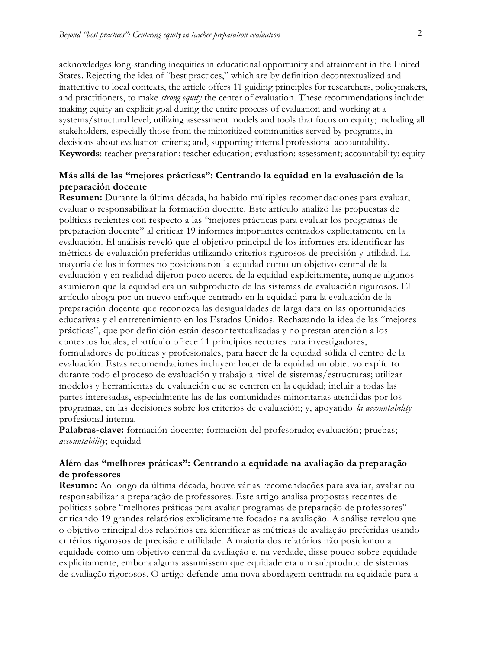acknowledges long-standing inequities in educational opportunity and attainment in the United States. Rejecting the idea of "best practices," which are by definition decontextualized and inattentive to local contexts, the article offers 11 guiding principles for researchers, policymakers, and practitioners, to make *strong equity* the center of evaluation. These recommendations include: making equity an explicit goal during the entire process of evaluation and working at a systems/structural level; utilizing assessment models and tools that focus on equity; including all stakeholders, especially those from the minoritized communities served by programs, in decisions about evaluation criteria; and, supporting internal professional accountability. **Keywords**: teacher preparation; teacher education; evaluation; assessment; accountability; equity

#### **Más allá de las "mejores prácticas": Centrando la equidad en la evaluación de la preparación docente**

**Resumen:** Durante la última década, ha habido múltiples recomendaciones para evaluar, evaluar o responsabilizar la formación docente. Este artículo analizó las propuestas de políticas recientes con respecto a las "mejores prácticas para evaluar los programas de preparación docente" al criticar 19 informes importantes centrados explícitamente en la evaluación. El análisis reveló que el objetivo principal de los informes era identificar las métricas de evaluación preferidas utilizando criterios rigurosos de precisión y utilidad. La mayoría de los informes no posicionaron la equidad como un objetivo central de la evaluación y en realidad dijeron poco acerca de la equidad explícitamente, aunque algunos asumieron que la equidad era un subproducto de los sistemas de evaluación rigurosos. El artículo aboga por un nuevo enfoque centrado en la equidad para la evaluación de la preparación docente que reconozca las desigualdades de larga data en las oportunidades educativas y el entretenimiento en los Estados Unidos. Rechazando la idea de las "mejores prácticas", que por definición están descontextualizadas y no prestan atención a los contextos locales, el artículo ofrece 11 principios rectores para investigadores, formuladores de políticas y profesionales, para hacer de la equidad sólida el centro de la evaluación. Estas recomendaciones incluyen: hacer de la equidad un objetivo explícito durante todo el proceso de evaluación y trabajo a nivel de sistemas/estructuras; utilizar modelos y herramientas de evaluación que se centren en la equidad; incluir a todas las partes interesadas, especialmente las de las comunidades minoritarias atendidas por los programas, en las decisiones sobre los criterios de evaluación; y, apoyando *la accountability* profesional interna.

**Palabras-clave:** formación docente; formación del profesorado; evaluación; pruebas; *accountability*; equidad

#### **Além das "melhores práticas": Centrando a equidade na avaliação da preparação de professores**

**Resumo:** Ao longo da última década, houve várias recomendações para avaliar, avaliar ou responsabilizar a preparação de professores. Este artigo analisa propostas recentes de políticas sobre "melhores práticas para avaliar programas de preparação de professores" criticando 19 grandes relatórios explicitamente focados na avaliação. A análise revelou que o objetivo principal dos relatórios era identificar as métricas de avaliação preferidas usando critérios rigorosos de precisão e utilidade. A maioria dos relatórios não posicionou a equidade como um objetivo central da avaliação e, na verdade, disse pouco sobre equidade explicitamente, embora alguns assumissem que equidade era um subproduto de sistemas de avaliação rigorosos. O artigo defende uma nova abordagem centrada na equidade para a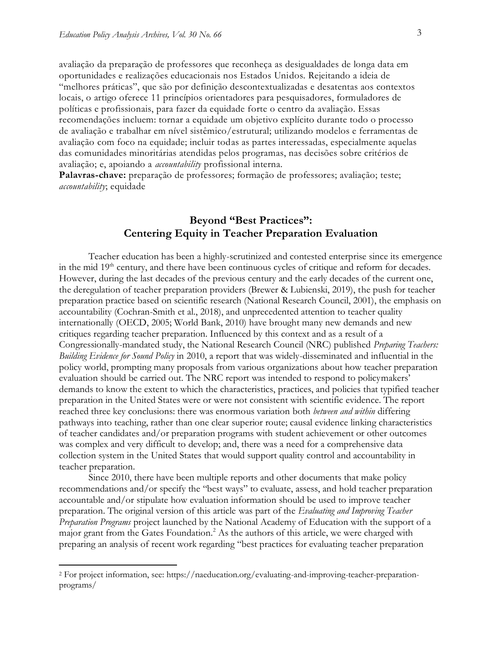avaliação da preparação de professores que reconheça as desigualdades de longa data em oportunidades e realizações educacionais nos Estados Unidos. Rejeitando a ideia de "melhores práticas", que são por definição descontextualizadas e desatentas aos contextos locais, o artigo oferece 11 princípios orientadores para pesquisadores, formuladores de políticas e profissionais, para fazer da equidade forte o centro da avaliação. Essas recomendações incluem: tornar a equidade um objetivo explícito durante todo o processo de avaliação e trabalhar em nível sistêmico/estrutural; utilizando modelos e ferramentas de avaliação com foco na equidade; incluir todas as partes interessadas, especialmente aquelas das comunidades minoritárias atendidas pelos programas, nas decisões sobre critérios de avaliação; e, apoiando a *accountability* profissional interna.

**Palavras-chave:** preparação de professores; formação de professores; avaliação; teste; *accountability*; equidade

### **Beyond "Best Practices": Centering Equity in Teacher Preparation Evaluation**

Teacher education has been a highly-scrutinized and contested enterprise since its emergence in the mid 19<sup>th</sup> century, and there have been continuous cycles of critique and reform for decades. However, during the last decades of the previous century and the early decades of the current one, the deregulation of teacher preparation providers (Brewer & Lubienski, 2019), the push for teacher preparation practice based on scientific research (National Research Council, 2001), the emphasis on accountability (Cochran-Smith et al., 2018), and unprecedented attention to teacher quality internationally (OECD, 2005; World Bank, 2010) have brought many new demands and new critiques regarding teacher preparation. Influenced by this context and as a result of a Congressionally-mandated study, the National Research Council (NRC) published *Preparing Teachers: Building Evidence for Sound Policy* in 2010, a report that was widely-disseminated and influential in the policy world, prompting many proposals from various organizations about how teacher preparation evaluation should be carried out. The NRC report was intended to respond to policymakers' demands to know the extent to which the characteristics, practices, and policies that typified teacher preparation in the United States were or were not consistent with scientific evidence. The report reached three key conclusions: there was enormous variation both *between and within* differing pathways into teaching, rather than one clear superior route; causal evidence linking characteristics of teacher candidates and/or preparation programs with student achievement or other outcomes was complex and very difficult to develop; and, there was a need for a comprehensive data collection system in the United States that would support quality control and accountability in teacher preparation.

Since 2010, there have been multiple reports and other documents that make policy recommendations and/or specify the "best ways" to evaluate, assess, and hold teacher preparation accountable and/or stipulate how evaluation information should be used to improve teacher preparation. The original version of this article was part of the *Evaluating and Improving Teacher Preparation Programs* project launched by the National Academy of Education with the support of a major grant from the Gates Foundation.<sup>2</sup> As the authors of this article, we were charged with preparing an analysis of recent work regarding "best practices for evaluating teacher preparation

 $\overline{a}$ 

<sup>2</sup> For project information, see: https://naeducation.org/evaluating-and-improving-teacher-preparationprograms/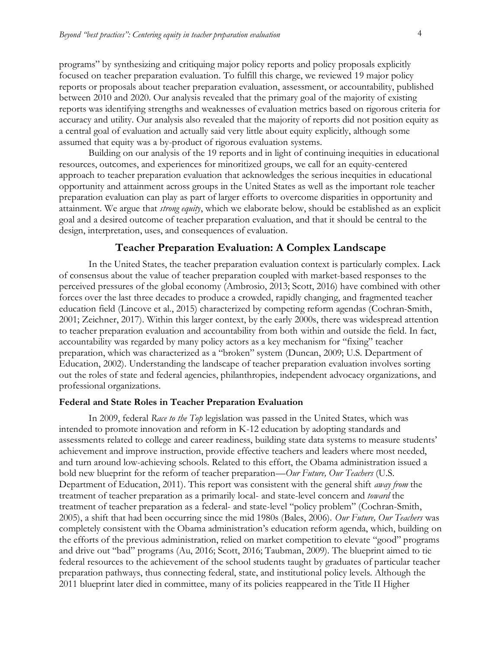programs" by synthesizing and critiquing major policy reports and policy proposals explicitly focused on teacher preparation evaluation. To fulfill this charge, we reviewed 19 major policy reports or proposals about teacher preparation evaluation, assessment, or accountability, published between 2010 and 2020. Our analysis revealed that the primary goal of the majority of existing reports was identifying strengths and weaknesses of evaluation metrics based on rigorous criteria for accuracy and utility. Our analysis also revealed that the majority of reports did not position equity as a central goal of evaluation and actually said very little about equity explicitly, although some assumed that equity was a by-product of rigorous evaluation systems.

Building on our analysis of the 19 reports and in light of continuing inequities in educational resources, outcomes, and experiences for minoritized groups, we call for an equity-centered approach to teacher preparation evaluation that acknowledges the serious inequities in educational opportunity and attainment across groups in the United States as well as the important role teacher preparation evaluation can play as part of larger efforts to overcome disparities in opportunity and attainment. We argue that *strong equity*, which we elaborate below, should be established as an explicit goal and a desired outcome of teacher preparation evaluation, and that it should be central to the design, interpretation, uses, and consequences of evaluation.

#### **Teacher Preparation Evaluation: A Complex Landscape**

In the United States, the teacher preparation evaluation context is particularly complex. Lack of consensus about the value of teacher preparation coupled with market-based responses to the perceived pressures of the global economy (Ambrosio, 2013; Scott, 2016) have combined with other forces over the last three decades to produce a crowded, rapidly changing, and fragmented teacher education field (Lincove et al., 2015) characterized by competing reform agendas (Cochran-Smith, 2001; Zeichner, 2017). Within this larger context, by the early 2000s, there was widespread attention to teacher preparation evaluation and accountability from both within and outside the field. In fact, accountability was regarded by many policy actors as a key mechanism for "fixing" teacher preparation, which was characterized as a "broken" system (Duncan, 2009; U.S. Department of Education, 2002). Understanding the landscape of teacher preparation evaluation involves sorting out the roles of state and federal agencies, philanthropies, independent advocacy organizations, and professional organizations.

#### **Federal and State Roles in Teacher Preparation Evaluation**

In 2009, federal *Race to the Top* legislation was passed in the United States, which was intended to promote innovation and reform in K-12 education by adopting standards and assessments related to college and career readiness, building state data systems to measure students' achievement and improve instruction, provide effective teachers and leaders where most needed, and turn around low-achieving schools. Related to this effort, the Obama administration issued a bold new blueprint for the reform of teacher preparation—*Our Future, Our Teachers* (U.S. Department of Education, 2011). This report was consistent with the general shift *away from* the treatment of teacher preparation as a primarily local- and state-level concern and *toward* the treatment of teacher preparation as a federal- and state-level "policy problem" (Cochran-Smith, 2005), a shift that had been occurring since the mid 1980s (Bales, 2006). *Our Future, Our Teachers* was completely consistent with the Obama administration's education reform agenda, which, building on the efforts of the previous administration, relied on market competition to elevate "good" programs and drive out "bad" programs (Au, 2016; Scott, 2016; Taubman, 2009). The blueprint aimed to tie federal resources to the achievement of the school students taught by graduates of particular teacher preparation pathways, thus connecting federal, state, and institutional policy levels. Although the 2011 blueprint later died in committee, many of its policies reappeared in the Title II Higher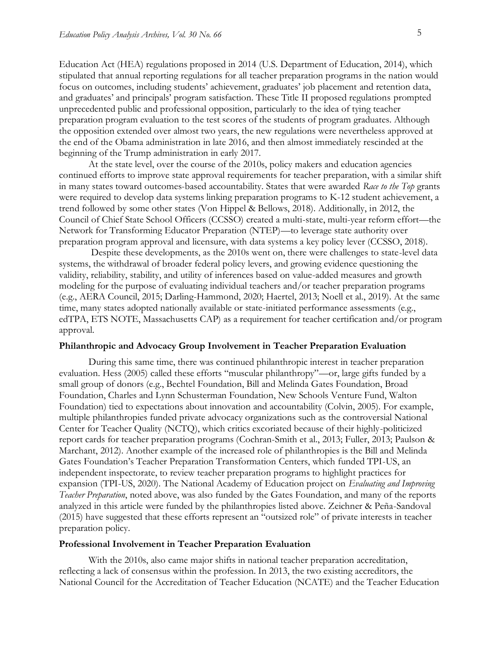Education Act (HEA) regulations proposed in 2014 (U.S. Department of Education, 2014), which stipulated that annual reporting regulations for all teacher preparation programs in the nation would focus on outcomes, including students' achievement, graduates' job placement and retention data, and graduates' and principals' program satisfaction. These Title II proposed regulations prompted unprecedented public and professional opposition, particularly to the idea of tying teacher preparation program evaluation to the test scores of the students of program graduates. Although the opposition extended over almost two years, the new regulations were nevertheless approved at the end of the Obama administration in late 2016, and then almost immediately rescinded at the beginning of the Trump administration in early 2017.

At the state level, over the course of the 2010s, policy makers and education agencies continued efforts to improve state approval requirements for teacher preparation, with a similar shift in many states toward outcomes-based accountability. States that were awarded *Race to the Top* grants were required to develop data systems linking preparation programs to K-12 student achievement, a trend followed by some other states (Von Hippel & Bellows, 2018). Additionally, in 2012, the Council of Chief State School Officers (CCSSO) created a multi-state, multi-year reform effort—the Network for Transforming Educator Preparation (NTEP)—to leverage state authority over preparation program approval and licensure, with data systems a key policy lever (CCSSO, 2018).

Despite these developments, as the 2010s went on, there were challenges to state-level data systems, the withdrawal of broader federal policy levers, and growing evidence questioning the validity, reliability, stability, and utility of inferences based on value-added measures and growth modeling for the purpose of evaluating individual teachers and/or teacher preparation programs (e.g., AERA Council, 2015; Darling-Hammond, 2020; Haertel, 2013; Noell et al., 2019). At the same time, many states adopted nationally available or state-initiated performance assessments (e.g., edTPA, ETS NOTE, Massachusetts CAP) as a requirement for teacher certification and/or program approval.

#### **Philanthropic and Advocacy Group Involvement in Teacher Preparation Evaluation**

During this same time, there was continued philanthropic interest in teacher preparation evaluation. Hess (2005) called these efforts "muscular philanthropy"—or, large gifts funded by a small group of donors (e.g., Bechtel Foundation, Bill and Melinda Gates Foundation, Broad Foundation, Charles and Lynn Schusterman Foundation, New Schools Venture Fund, Walton Foundation) tied to expectations about innovation and accountability (Colvin, 2005). For example, multiple philanthropies funded private advocacy organizations such as the controversial National Center for Teacher Quality (NCTQ), which critics excoriated because of their highly-politicized report cards for teacher preparation programs (Cochran-Smith et al., 2013; Fuller, 2013; Paulson & Marchant, 2012). Another example of the increased role of philanthropies is the Bill and Melinda Gates Foundation's Teacher Preparation Transformation Centers, which funded TPI-US, an independent inspectorate, to review teacher preparation programs to highlight practices for expansion (TPI-US, 2020). The National Academy of Education project on *Evaluating and Improving Teacher Preparation*, noted above, was also funded by the Gates Foundation, and many of the reports analyzed in this article were funded by the philanthropies listed above. Zeichner & Peña-Sandoval (2015) have suggested that these efforts represent an "outsized role" of private interests in teacher preparation policy.

#### **Professional Involvement in Teacher Preparation Evaluation**

With the 2010s, also came major shifts in national teacher preparation accreditation, reflecting a lack of consensus within the profession. In 2013, the two existing accreditors, the National Council for the Accreditation of Teacher Education (NCATE) and the Teacher Education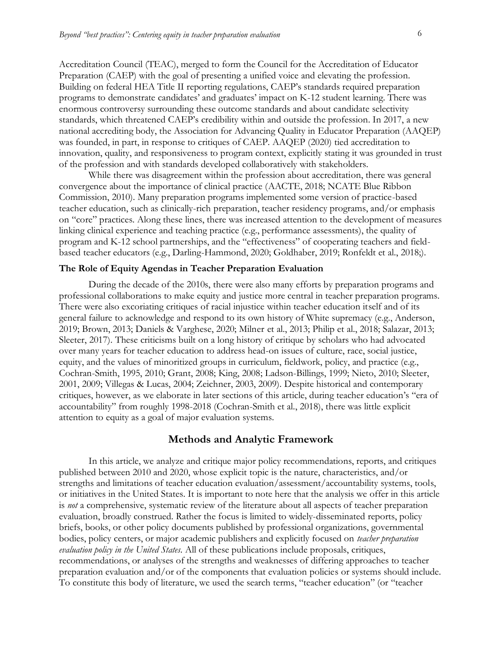Accreditation Council (TEAC), merged to form the Council for the Accreditation of Educator Preparation (CAEP) with the goal of presenting a unified voice and elevating the profession. Building on federal HEA Title II reporting regulations, CAEP's standards required preparation programs to demonstrate candidates' and graduates' impact on K-12 student learning. There was enormous controversy surrounding these outcome standards and about candidate selectivity standards, which threatened CAEP's credibility within and outside the profession. In 2017, a new national accrediting body, the Association for Advancing Quality in Educator Preparation (AAQEP) was founded, in part, in response to critiques of CAEP. AAQEP (2020) tied accreditation to innovation, quality, and responsiveness to program context, explicitly stating it was grounded in trust of the profession and with standards developed collaboratively with stakeholders.

While there was disagreement within the profession about accreditation, there was general convergence about the importance of clinical practice (AACTE, 2018; NCATE Blue Ribbon Commission, 2010). Many preparation programs implemented some version of practice-based teacher education, such as clinically-rich preparation, teacher residency programs, and/or emphasis on "core" practices. Along these lines, there was increased attention to the development of measures linking clinical experience and teaching practice (e.g., performance assessments), the quality of program and K-12 school partnerships, and the "effectiveness" of cooperating teachers and fieldbased teacher educators (e.g., Darling-Hammond, 2020; Goldhaber, 2019; Ronfeldt et al., 2018;).

#### **The Role of Equity Agendas in Teacher Preparation Evaluation**

During the decade of the 2010s, there were also many efforts by preparation programs and professional collaborations to make equity and justice more central in teacher preparation programs. There were also excoriating critiques of racial injustice within teacher education itself and of its general failure to acknowledge and respond to its own history of White supremacy (e.g., Anderson, 2019; Brown, 2013; Daniels & Varghese, 2020; Milner et al., 2013; Philip et al., 2018; Salazar, 2013; Sleeter, 2017). These criticisms built on a long history of critique by scholars who had advocated over many years for teacher education to address head-on issues of culture, race, social justice, equity, and the values of minoritized groups in curriculum, fieldwork, policy, and practice (e.g., Cochran-Smith, 1995, 2010; Grant, 2008; King, 2008; Ladson-Billings, 1999; Nieto, 2010; Sleeter, 2001, 2009; Villegas & Lucas, 2004; Zeichner, 2003, 2009). Despite historical and contemporary critiques, however, as we elaborate in later sections of this article, during teacher education's "era of accountability" from roughly 1998-2018 (Cochran-Smith et al., 2018), there was little explicit attention to equity as a goal of major evaluation systems.

#### **Methods and Analytic Framework**

In this article, we analyze and critique major policy recommendations, reports, and critiques published between 2010 and 2020, whose explicit topic is the nature, characteristics, and/or strengths and limitations of teacher education evaluation/assessment/accountability systems, tools, or initiatives in the United States. It is important to note here that the analysis we offer in this article is *not* a comprehensive, systematic review of the literature about all aspects of teacher preparation evaluation, broadly construed. Rather the focus is limited to widely-disseminated reports, policy briefs, books, or other policy documents published by professional organizations, governmental bodies, policy centers, or major academic publishers and explicitly focused on *teacher preparation evaluation policy in the United States.* All of these publications include proposals, critiques, recommendations, or analyses of the strengths and weaknesses of differing approaches to teacher preparation evaluation and/or of the components that evaluation policies or systems should include. To constitute this body of literature, we used the search terms, "teacher education" (or "teacher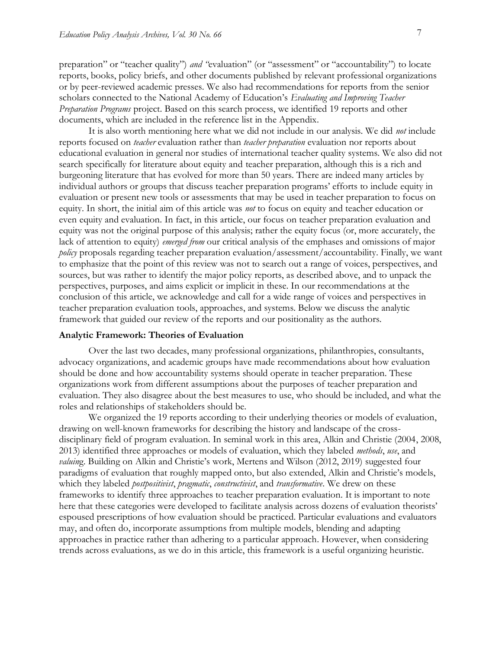preparation" or "teacher quality") *and "*evaluation" (or "assessment" or "accountability") to locate reports, books, policy briefs, and other documents published by relevant professional organizations or by peer-reviewed academic presses. We also had recommendations for reports from the senior scholars connected to the National Academy of Education's *Evaluating and Improving Teacher Preparation Programs* project. Based on this search process, we identified 19 reports and other documents, which are included in the reference list in the Appendix.

It is also worth mentioning here what we did not include in our analysis. We did *not* include reports focused on *teacher* evaluation rather than *teacher preparation* evaluation nor reports about educational evaluation in general nor studies of international teacher quality systems. We also did not search specifically for literature about equity and teacher preparation, although this is a rich and burgeoning literature that has evolved for more than 50 years. There are indeed many articles by individual authors or groups that discuss teacher preparation programs' efforts to include equity in evaluation or present new tools or assessments that may be used in teacher preparation to focus on equity. In short, the initial aim of this article was *not* to focus on equity and teacher education or even equity and evaluation. In fact, in this article, our focus on teacher preparation evaluation and equity was not the original purpose of this analysis; rather the equity focus (or, more accurately, the lack of attention to equity) *emerged from* our critical analysis of the emphases and omissions of major *policy* proposals regarding teacher preparation evaluation/assessment/accountability. Finally, we want to emphasize that the point of this review was not to search out a range of voices, perspectives, and sources, but was rather to identify the major policy reports, as described above, and to unpack the perspectives, purposes, and aims explicit or implicit in these. In our recommendations at the conclusion of this article, we acknowledge and call for a wide range of voices and perspectives in teacher preparation evaluation tools, approaches, and systems. Below we discuss the analytic framework that guided our review of the reports and our positionality as the authors.

#### **Analytic Framework: Theories of Evaluation**

Over the last two decades, many professional organizations, philanthropies, consultants, advocacy organizations, and academic groups have made recommendations about how evaluation should be done and how accountability systems should operate in teacher preparation. These organizations work from different assumptions about the purposes of teacher preparation and evaluation. They also disagree about the best measures to use, who should be included, and what the roles and relationships of stakeholders should be.

We organized the 19 reports according to their underlying theories or models of evaluation, drawing on well-known frameworks for describing the history and landscape of the crossdisciplinary field of program evaluation. In seminal work in this area, Alkin and Christie (2004, 2008, 2013) identified three approaches or models of evaluation, which they labeled *methods*, *use*, and *valuin*g. Building on Alkin and Christie's work, Mertens and Wilson (2012, 2019) suggested four paradigms of evaluation that roughly mapped onto, but also extended, Alkin and Christie's models, which they labeled *postpositivist*, *pragmatic*, *constructivist*, and *transformative*. We drew on these frameworks to identify three approaches to teacher preparation evaluation. It is important to note here that these categories were developed to facilitate analysis across dozens of evaluation theorists' espoused prescriptions of how evaluation should be practiced. Particular evaluations and evaluators may, and often do, incorporate assumptions from multiple models, blending and adapting approaches in practice rather than adhering to a particular approach. However, when considering trends across evaluations, as we do in this article, this framework is a useful organizing heuristic.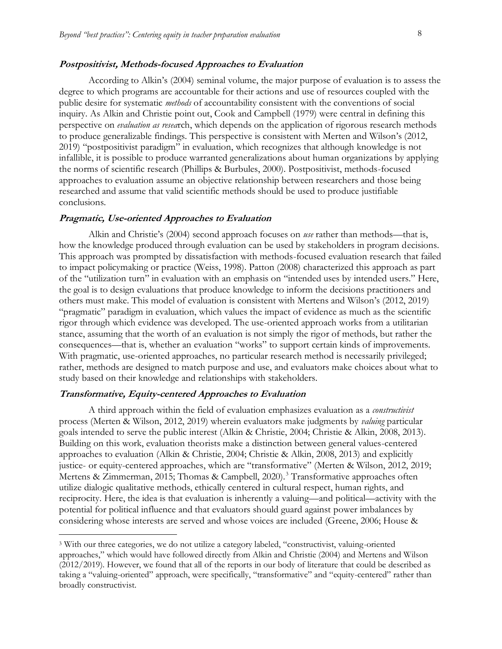#### **Postpositivist, Methods-focused Approaches to Evaluation**

According to Alkin's (2004) seminal volume, the major purpose of evaluation is to assess the degree to which programs are accountable for their actions and use of resources coupled with the public desire for systematic *methods* of accountability consistent with the conventions of social inquiry. As Alkin and Christie point out, Cook and Campbell (1979) were central in defining this perspective on *evaluation as resea*rch, which depends on the application of rigorous research methods to produce generalizable findings. This perspective is consistent with Merten and Wilson's (2012, 2019) "postpositivist paradigm" in evaluation, which recognizes that although knowledge is not infallible, it is possible to produce warranted generalizations about human organizations by applying the norms of scientific research (Phillips & Burbules, 2000). Postpositivist, methods-focused approaches to evaluation assume an objective relationship between researchers and those being researched and assume that valid scientific methods should be used to produce justifiable conclusions.

#### **Pragmatic, Use-oriented Approaches to Evaluation**

Alkin and Christie's (2004) second approach focuses on *use* rather than methods—that is, how the knowledge produced through evaluation can be used by stakeholders in program decisions. This approach was prompted by dissatisfaction with methods-focused evaluation research that failed to impact policymaking or practice (Weiss, 1998). Patton (2008) characterized this approach as part of the "utilization turn" in evaluation with an emphasis on "intended uses by intended users." Here, the goal is to design evaluations that produce knowledge to inform the decisions practitioners and others must make. This model of evaluation is consistent with Mertens and Wilson's (2012, 2019) "pragmatic" paradigm in evaluation, which values the impact of evidence as much as the scientific rigor through which evidence was developed. The use-oriented approach works from a utilitarian stance, assuming that the worth of an evaluation is not simply the rigor of methods, but rather the consequences—that is, whether an evaluation "works" to support certain kinds of improvements. With pragmatic, use-oriented approaches, no particular research method is necessarily privileged; rather, methods are designed to match purpose and use, and evaluators make choices about what to study based on their knowledge and relationships with stakeholders.

#### **Transformative, Equity-centered Approaches to Evaluation**

 $\overline{a}$ 

A third approach within the field of evaluation emphasizes evaluation as a *constructivist* process (Merten & Wilson, 2012, 2019) wherein evaluators make judgments by *valuing* particular goals intended to serve the public interest (Alkin & Christie, 2004; Christie & Alkin, 2008, 2013). Building on this work, evaluation theorists make a distinction between general values-centered approaches to evaluation (Alkin & Christie, 2004; Christie & Alkin, 2008, 2013) and explicitly justice- or equity-centered approaches, which are "transformative" (Merten & Wilson, 2012, 2019; Mertens & Zimmerman, 2015; Thomas & Campbell, 2020).<sup>3</sup> Transformative approaches often utilize dialogic qualitative methods, ethically centered in cultural respect, human rights, and reciprocity. Here, the idea is that evaluation is inherently a valuing—and political—activity with the potential for political influence and that evaluators should guard against power imbalances by considering whose interests are served and whose voices are included (Greene, 2006; House &

<sup>3</sup> With our three categories, we do not utilize a category labeled, "constructivist, valuing-oriented approaches," which would have followed directly from Alkin and Christie (2004) and Mertens and Wilson (2012/2019). However, we found that all of the reports in our body of literature that could be described as taking a "valuing-oriented" approach, were specifically, "transformative" and "equity-centered" rather than broadly constructivist.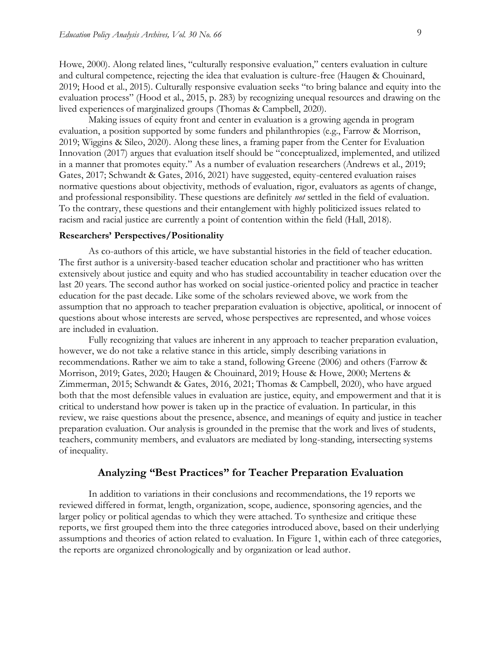Howe, 2000). Along related lines, "culturally responsive evaluation," centers evaluation in culture and cultural competence, rejecting the idea that evaluation is culture-free (Haugen & Chouinard, 2019; Hood et al., 2015). Culturally responsive evaluation seeks "to bring balance and equity into the evaluation process" (Hood et al., 2015, p. 283) by recognizing unequal resources and drawing on the lived experiences of marginalized groups (Thomas & Campbell, 2020).

Making issues of equity front and center in evaluation is a growing agenda in program evaluation, a position supported by some funders and philanthropies (e.g., Farrow & Morrison, 2019; Wiggins & Sileo, 2020). Along these lines, a framing paper from the Center for Evaluation Innovation (2017) argues that evaluation itself should be "conceptualized, implemented, and utilized in a manner that promotes equity." As a number of evaluation researchers (Andrews et al., 2019; Gates, 2017; Schwandt & Gates, 2016, 2021) have suggested, equity-centered evaluation raises normative questions about objectivity, methods of evaluation, rigor, evaluators as agents of change, and professional responsibility. These questions are definitely *not* settled in the field of evaluation. To the contrary, these questions and their entanglement with highly politicized issues related to racism and racial justice are currently a point of contention within the field (Hall, 2018).

#### **Researchers' Perspectives/Positionality**

As co-authors of this article, we have substantial histories in the field of teacher education. The first author is a university-based teacher education scholar and practitioner who has written extensively about justice and equity and who has studied accountability in teacher education over the last 20 years. The second author has worked on social justice-oriented policy and practice in teacher education for the past decade. Like some of the scholars reviewed above, we work from the assumption that no approach to teacher preparation evaluation is objective, apolitical, or innocent of questions about whose interests are served, whose perspectives are represented, and whose voices are included in evaluation.

Fully recognizing that values are inherent in any approach to teacher preparation evaluation, however, we do not take a relative stance in this article, simply describing variations in recommendations. Rather we aim to take a stand, following Greene (2006) and others (Farrow & Morrison, 2019; Gates, 2020; Haugen & Chouinard, 2019; House & Howe, 2000; Mertens & Zimmerman, 2015; Schwandt & Gates, 2016, 2021; Thomas & Campbell, 2020), who have argued both that the most defensible values in evaluation are justice, equity, and empowerment and that it is critical to understand how power is taken up in the practice of evaluation. In particular, in this review, we raise questions about the presence, absence, and meanings of equity and justice in teacher preparation evaluation. Our analysis is grounded in the premise that the work and lives of students, teachers, community members, and evaluators are mediated by long-standing, intersecting systems of inequality.

### **Analyzing "Best Practices" for Teacher Preparation Evaluation**

In addition to variations in their conclusions and recommendations, the 19 reports we reviewed differed in format, length, organization, scope, audience, sponsoring agencies, and the larger policy or political agendas to which they were attached. To synthesize and critique these reports, we first grouped them into the three categories introduced above, based on their underlying assumptions and theories of action related to evaluation. In Figure 1, within each of three categories, the reports are organized chronologically and by organization or lead author.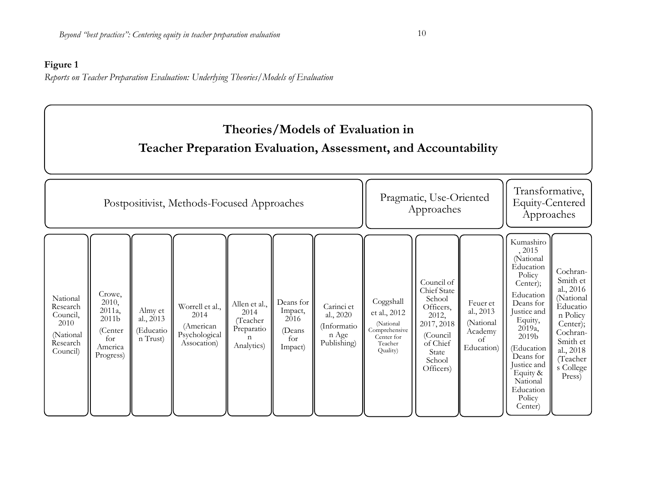### **Figure 1**

*Reports on Teacher Preparation Evaluation: Underlying Theories/Models of Evaluation*

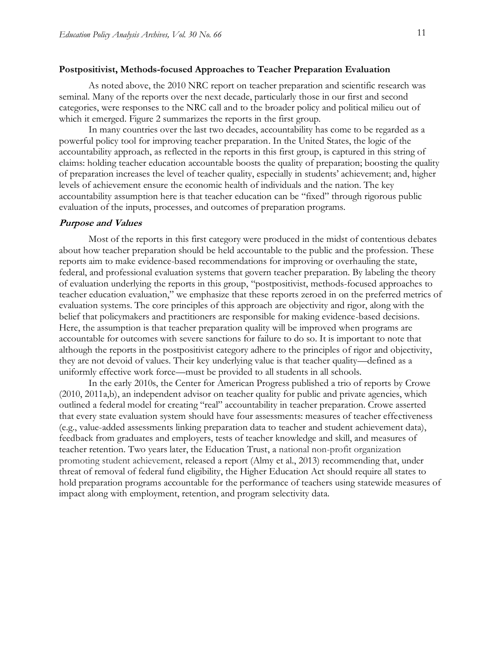#### **Postpositivist, Methods-focused Approaches to Teacher Preparation Evaluation**

As noted above, the 2010 NRC report on teacher preparation and scientific research was seminal. Many of the reports over the next decade, particularly those in our first and second categories, were responses to the NRC call and to the broader policy and political milieu out of which it emerged. Figure 2 summarizes the reports in the first group.

In many countries over the last two decades, accountability has come to be regarded as a powerful policy tool for improving teacher preparation. In the United States, the logic of the accountability approach, as reflected in the reports in this first group, is captured in this string of claims: holding teacher education accountable boosts the quality of preparation; boosting the quality of preparation increases the level of teacher quality, especially in students' achievement; and, higher levels of achievement ensure the economic health of individuals and the nation. The key accountability assumption here is that teacher education can be "fixed" through rigorous public evaluation of the inputs, processes, and outcomes of preparation programs.

#### **Purpose and Values**

Most of the reports in this first category were produced in the midst of contentious debates about how teacher preparation should be held accountable to the public and the profession. These reports aim to make evidence-based recommendations for improving or overhauling the state, federal, and professional evaluation systems that govern teacher preparation. By labeling the theory of evaluation underlying the reports in this group, "postpositivist, methods-focused approaches to teacher education evaluation," we emphasize that these reports zeroed in on the preferred metrics of evaluation systems. The core principles of this approach are objectivity and rigor, along with the belief that policymakers and practitioners are responsible for making evidence-based decisions. Here, the assumption is that teacher preparation quality will be improved when programs are accountable for outcomes with severe sanctions for failure to do so. It is important to note that although the reports in the postpositivist category adhere to the principles of rigor and objectivity, they are not devoid of values. Their key underlying value is that teacher quality—defined as a uniformly effective work force—must be provided to all students in all schools.

In the early 2010s, the Center for American Progress published a trio of reports by Crowe (2010, 2011a,b), an independent advisor on teacher quality for public and private agencies, which outlined a federal model for creating "real" accountability in teacher preparation. Crowe asserted that every state evaluation system should have four assessments: measures of teacher effectiveness (e.g., value-added assessments linking preparation data to teacher and student achievement data), feedback from graduates and employers, tests of teacher knowledge and skill, and measures of teacher retention. Two years later, the Education Trust, a national non-profit organization promoting student achievement, released a report (Almy et al., 2013) recommending that, under threat of removal of federal fund eligibility, the Higher Education Act should require all states to hold preparation programs accountable for the performance of teachers using statewide measures of impact along with employment, retention, and program selectivity data.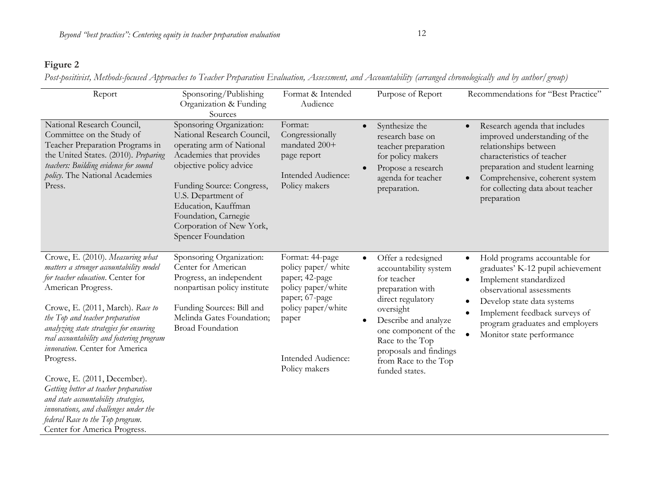### **Figure 2**

Post-positivist, Methods-focused Approaches to Teacher Preparation Evaluation, Assessment, and Accountability (arranged chronologically and by author/group)

| Report                                                                                                                                                                                                                                                                                                                                                                                                                                                                                                                                                                            | Sponsoring/Publishing<br>Organization & Funding<br>Sources                                                                                                                                                                                                                                    | Format & Intended<br>Audience                                                                                                                                          | Purpose of Report                                                                                                                                                                                                                                                                 | Recommendations for "Best Practice"                                                                                                                                                                                                                                                                  |
|-----------------------------------------------------------------------------------------------------------------------------------------------------------------------------------------------------------------------------------------------------------------------------------------------------------------------------------------------------------------------------------------------------------------------------------------------------------------------------------------------------------------------------------------------------------------------------------|-----------------------------------------------------------------------------------------------------------------------------------------------------------------------------------------------------------------------------------------------------------------------------------------------|------------------------------------------------------------------------------------------------------------------------------------------------------------------------|-----------------------------------------------------------------------------------------------------------------------------------------------------------------------------------------------------------------------------------------------------------------------------------|------------------------------------------------------------------------------------------------------------------------------------------------------------------------------------------------------------------------------------------------------------------------------------------------------|
| National Research Council,<br>Committee on the Study of<br>Teacher Preparation Programs in<br>the United States. (2010). Preparing<br>teachers: Building evidence for sound<br>policy. The National Academies<br>Press.                                                                                                                                                                                                                                                                                                                                                           | Sponsoring Organization:<br>National Research Council,<br>operating arm of National<br>Academies that provides<br>objective policy advice<br>Funding Source: Congress,<br>U.S. Department of<br>Education, Kauffman<br>Foundation, Carnegie<br>Corporation of New York,<br>Spencer Foundation | Format:<br>Congressionally<br>mandated 200+<br>page report<br>Intended Audience:<br>Policy makers                                                                      | Synthesize the<br>$\bullet$<br>research base on<br>teacher preparation<br>for policy makers<br>Propose a research<br>agenda for teacher<br>preparation.                                                                                                                           | Research agenda that includes<br>improved understanding of the<br>relationships between<br>characteristics of teacher<br>preparation and student learning<br>Comprehensive, coherent system<br>$\bullet$<br>for collecting data about teacher<br>preparation                                         |
| Crowe, E. (2010). Measuring what<br>matters a stronger accountability model<br>for teacher education. Center for<br>American Progress.<br>Crowe, E. (2011, March). Race to<br>the Top and teacher preparation<br>analyzing state strategies for ensuring<br>real accountability and fostering program<br>innovation. Center for America<br>Progress.<br>Crowe, E. (2011, December).<br>Getting better at teacher preparation<br>and state accountability strategies,<br>innovations, and challenges under the<br>federal Race to the Top program.<br>Center for America Progress. | Sponsoring Organization:<br>Center for American<br>Progress, an independent<br>nonpartisan policy institute<br>Funding Sources: Bill and<br>Melinda Gates Foundation;<br><b>Broad Foundation</b>                                                                                              | Format: 44-page<br>policy paper/ white<br>paper; 42-page<br>policy paper/white<br>paper; 67-page<br>policy paper/white<br>paper<br>Intended Audience:<br>Policy makers | Offer a redesigned<br>$\bullet$<br>accountability system<br>for teacher<br>preparation with<br>direct regulatory<br>oversight<br>Describe and analyze<br>$\bullet$<br>one component of the<br>Race to the Top<br>proposals and findings<br>from Race to the Top<br>funded states. | Hold programs accountable for<br>$\bullet$<br>graduates' K-12 pupil achievement<br>Implement standardized<br>$\bullet$<br>observational assessments<br>Develop state data systems<br>٠<br>Implement feedback surveys of<br>$\bullet$<br>program graduates and employers<br>Monitor state performance |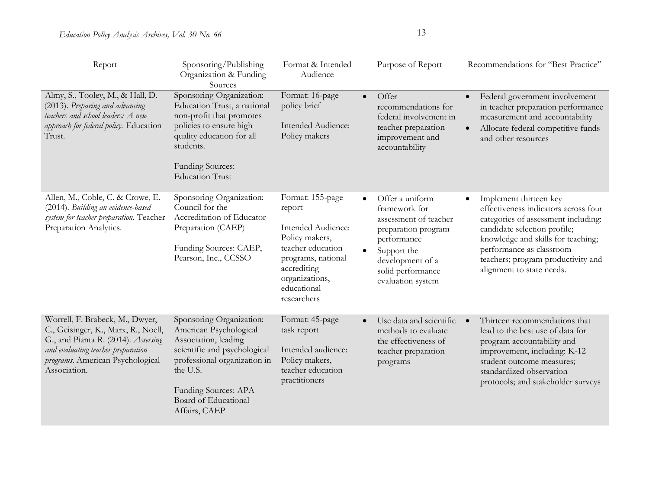| Report                                                                                                                                                                                                  | Sponsoring/Publishing<br>Organization & Funding<br>Sources                                                                                                                                                              | Format & Intended<br>Audience                                                                                                                                                | Purpose of Report                                                                                                                                                                                      | Recommendations for "Best Practice"                                                                                                                                                                                                                                        |
|---------------------------------------------------------------------------------------------------------------------------------------------------------------------------------------------------------|-------------------------------------------------------------------------------------------------------------------------------------------------------------------------------------------------------------------------|------------------------------------------------------------------------------------------------------------------------------------------------------------------------------|--------------------------------------------------------------------------------------------------------------------------------------------------------------------------------------------------------|----------------------------------------------------------------------------------------------------------------------------------------------------------------------------------------------------------------------------------------------------------------------------|
| Almy, S., Tooley, M., & Hall, D.<br>(2013). Preparing and advancing<br>teachers and school leaders: A new<br>approach for federal policy. Education<br>Trust.                                           | Sponsoring Organization:<br>Education Trust, a national<br>non-profit that promotes<br>policies to ensure high<br>quality education for all<br>students.<br><b>Funding Sources:</b><br><b>Education Trust</b>           | Format: 16-page<br>policy brief<br>Intended Audience:<br>Policy makers                                                                                                       | Offer<br>$\bullet$<br>recommendations for<br>federal involvement in<br>teacher preparation<br>improvement and<br>accountability                                                                        | Federal government involvement<br>$\bullet$<br>in teacher preparation performance<br>measurement and accountability<br>Allocate federal competitive funds<br>$\bullet$<br>and other resources                                                                              |
| Allen, M., Coble, C. & Crowe, E.<br>(2014). Building an evidence-based<br>system for teacher preparation. Teacher<br>Preparation Analytics.                                                             | Sponsoring Organization:<br>Council for the<br>Accreditation of Educator<br>Preparation (CAEP)<br>Funding Sources: CAEP,<br>Pearson, Inc., CCSSO                                                                        | Format: 155-page<br>report<br>Intended Audience:<br>Policy makers,<br>teacher education<br>programs, national<br>accrediting<br>organizations,<br>educational<br>researchers | Offer a uniform<br>$\bullet$<br>framework for<br>assessment of teacher<br>preparation program<br>performance<br>Support the<br>$\bullet$<br>development of a<br>solid performance<br>evaluation system | Implement thirteen key<br>effectiveness indicators across four<br>categories of assessment including:<br>candidate selection profile;<br>knowledge and skills for teaching;<br>performance as classroom<br>teachers; program productivity and<br>alignment to state needs. |
| Worrell, F. Brabeck, M., Dwyer,<br>C., Geisinger, K., Marx, R., Noell,<br>G., and Pianta R. (2014). Assessing<br>and evaluating teacher preparation<br>programs. American Psychological<br>Association. | Sponsoring Organization:<br>American Psychological<br>Association, leading<br>scientific and psychological<br>professional organization in<br>the U.S.<br>Funding Sources: APA<br>Board of Educational<br>Affairs, CAEP | Format: 45-page<br>task report<br>Intended audience:<br>Policy makers,<br>teacher education<br>practitioners                                                                 | Use data and scientific<br>$\bullet$<br>methods to evaluate<br>the effectiveness of<br>teacher preparation<br>programs                                                                                 | Thirteen recommendations that<br>$\bullet$<br>lead to the best use of data for<br>program accountability and<br>improvement, including: K-12<br>student outcome measures;<br>standardized observation<br>protocols; and stakeholder surveys                                |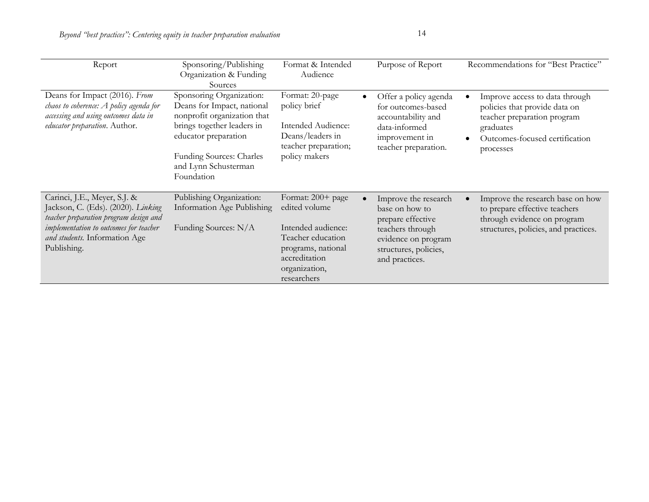| Report                                                                                                                                                                                                 | Sponsoring/Publishing<br>Organization & Funding<br>Sources                                                                                                                                                           | Format & Intended<br>Audience                                                                                                                        | Purpose of Report                                                                                                                                 | Recommendations for "Best Practice"                                                                                                                        |
|--------------------------------------------------------------------------------------------------------------------------------------------------------------------------------------------------------|----------------------------------------------------------------------------------------------------------------------------------------------------------------------------------------------------------------------|------------------------------------------------------------------------------------------------------------------------------------------------------|---------------------------------------------------------------------------------------------------------------------------------------------------|------------------------------------------------------------------------------------------------------------------------------------------------------------|
| Deans for Impact (2016). From<br>chaos to coherence: A policy agenda for<br>accessing and using outcomes data in<br>educator preparation. Author.                                                      | Sponsoring Organization:<br>Deans for Impact, national<br>nonprofit organization that<br>brings together leaders in<br>educator preparation<br><b>Funding Sources: Charles</b><br>and Lynn Schusterman<br>Foundation | Format: 20-page<br>$\bullet$<br>policy brief<br>Intended Audience:<br>Deans/leaders in<br>teacher preparation;<br>policy makers                      | Offer a policy agenda<br>for outcomes-based<br>accountability and<br>data-informed<br>improvement in<br>teacher preparation.                      | Improve access to data through<br>policies that provide data on<br>teacher preparation program<br>graduates<br>Outcomes-focused certification<br>processes |
| Carinci, J.E., Meyer, S.J. &<br>Jackson, C. (Eds). (2020). Linking<br>teacher preparation program design and<br>implementation to outcomes for teacher<br>and students. Information Age<br>Publishing. | Publishing Organization:<br>Information Age Publishing<br>Funding Sources: N/A                                                                                                                                       | Format: 200+ page<br>edited volume<br>Intended audience:<br>Teacher education<br>programs, national<br>accreditation<br>organization,<br>researchers | Improve the research<br>base on how to<br>prepare effective<br>teachers through<br>evidence on program<br>structures, policies,<br>and practices. | Improve the research base on how<br>to prepare effective teachers<br>through evidence on program<br>structures, policies, and practices.                   |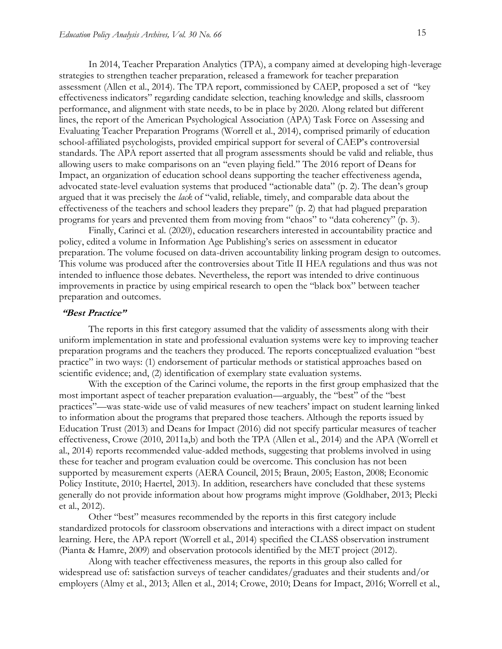In 2014, Teacher Preparation Analytics (TPA), a company aimed at developing high-leverage strategies to strengthen teacher preparation, released a framework for teacher preparation assessment (Allen et al., 2014). The TPA report, commissioned by CAEP, proposed a set of "key effectiveness indicators" regarding candidate selection, teaching knowledge and skills, classroom performance, and alignment with state needs, to be in place by 2020. Along related but different lines, the report of the American Psychological Association (APA) Task Force on Assessing and Evaluating Teacher Preparation Programs (Worrell et al., 2014), comprised primarily of education school-affiliated psychologists, provided empirical support for several of CAEP's controversial standards. The APA report asserted that all program assessments should be valid and reliable, thus allowing users to make comparisons on an "even playing field." The 2016 report of Deans for Impact, an organization of education school deans supporting the teacher effectiveness agenda, advocated state-level evaluation systems that produced "actionable data" (p. 2). The dean's group argued that it was precisely the *lack* of "valid, reliable, timely, and comparable data about the effectiveness of the teachers and school leaders they prepare" (p. 2) that had plagued preparation programs for years and prevented them from moving from "chaos" to "data coherency" (p. 3).

Finally, Carinci et al. (2020), education researchers interested in accountability practice and policy, edited a volume in Information Age Publishing's series on assessment in educator preparation. The volume focused on data-driven accountability linking program design to outcomes. This volume was produced after the controversies about Title II HEA regulations and thus was not intended to influence those debates. Nevertheless, the report was intended to drive continuous improvements in practice by using empirical research to open the "black box" between teacher preparation and outcomes.

#### **"Best Practice"**

The reports in this first category assumed that the validity of assessments along with their uniform implementation in state and professional evaluation systems were key to improving teacher preparation programs and the teachers they produced. The reports conceptualized evaluation "best practice" in two ways: (1) endorsement of particular methods or statistical approaches based on scientific evidence; and, (2) identification of exemplary state evaluation systems.

With the exception of the Carinci volume, the reports in the first group emphasized that the most important aspect of teacher preparation evaluation—arguably, the "best" of the "best practices"—was state-wide use of valid measures of new teachers' impact on student learning linked to information about the programs that prepared those teachers. Although the reports issued by Education Trust (2013) and Deans for Impact (2016) did not specify particular measures of teacher effectiveness, Crowe (2010, 2011a,b) and both the TPA (Allen et al., 2014) and the APA (Worrell et al., 2014) reports recommended value-added methods, suggesting that problems involved in using these for teacher and program evaluation could be overcome. This conclusion has not been supported by measurement experts (AERA Council, 2015; Braun, 2005; Easton, 2008; Economic Policy Institute, 2010; Haertel, 2013). In addition, researchers have concluded that these systems generally do not provide information about how programs might improve (Goldhaber, 2013; Plecki et al., 2012).

Other "best" measures recommended by the reports in this first category include standardized protocols for classroom observations and interactions with a direct impact on student learning. Here, the APA report (Worrell et al., 2014) specified the CLASS observation instrument (Pianta & Hamre, 2009) and observation protocols identified by the MET project (2012).

Along with teacher effectiveness measures, the reports in this group also called for widespread use of: satisfaction surveys of teacher candidates/graduates and their students and/or employers (Almy et al., 2013; Allen et al., 2014; Crowe, 2010; Deans for Impact, 2016; Worrell et al.,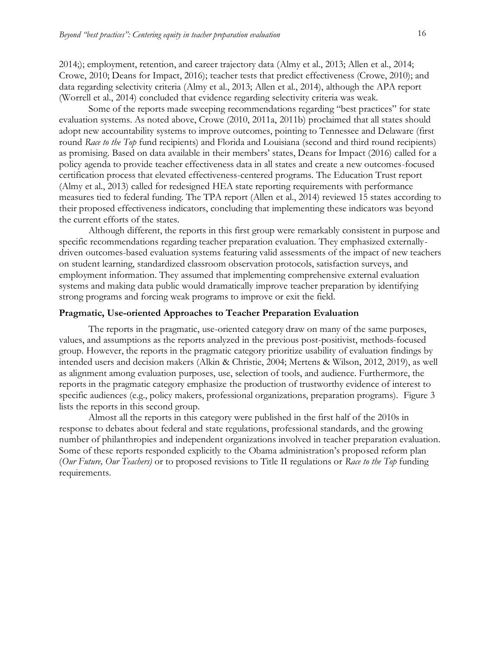2014;); employment, retention, and career trajectory data (Almy et al., 2013; Allen et al., 2014; Crowe, 2010; Deans for Impact, 2016); teacher tests that predict effectiveness (Crowe, 2010); and data regarding selectivity criteria (Almy et al., 2013; Allen et al., 2014), although the APA report (Worrell et al., 2014) concluded that evidence regarding selectivity criteria was weak.

Some of the reports made sweeping recommendations regarding "best practices" for state evaluation systems. As noted above, Crowe (2010, 2011a, 2011b) proclaimed that all states should adopt new accountability systems to improve outcomes, pointing to Tennessee and Delaware (first round *Race to the Top* fund recipients) and Florida and Louisiana (second and third round recipients) as promising. Based on data available in their members' states, Deans for Impact (2016) called for a policy agenda to provide teacher effectiveness data in all states and create a new outcomes-focused certification process that elevated effectiveness-centered programs. The Education Trust report (Almy et al., 2013) called for redesigned HEA state reporting requirements with performance measures tied to federal funding. The TPA report (Allen et al., 2014) reviewed 15 states according to their proposed effectiveness indicators, concluding that implementing these indicators was beyond the current efforts of the states.

Although different, the reports in this first group were remarkably consistent in purpose and specific recommendations regarding teacher preparation evaluation. They emphasized externallydriven outcomes-based evaluation systems featuring valid assessments of the impact of new teachers on student learning, standardized classroom observation protocols, satisfaction surveys, and employment information. They assumed that implementing comprehensive external evaluation systems and making data public would dramatically improve teacher preparation by identifying strong programs and forcing weak programs to improve or exit the field.

#### **Pragmatic, Use-oriented Approaches to Teacher Preparation Evaluation**

The reports in the pragmatic, use-oriented category draw on many of the same purposes, values, and assumptions as the reports analyzed in the previous post-positivist, methods-focused group. However, the reports in the pragmatic category prioritize usability of evaluation findings by intended users and decision makers (Alkin & Christie, 2004; Mertens & Wilson, 2012, 2019), as well as alignment among evaluation purposes, use, selection of tools, and audience. Furthermore, the reports in the pragmatic category emphasize the production of trustworthy evidence of interest to specific audiences (e.g., policy makers, professional organizations, preparation programs). Figure 3 lists the reports in this second group.

Almost all the reports in this category were published in the first half of the 2010s in response to debates about federal and state regulations, professional standards, and the growing number of philanthropies and independent organizations involved in teacher preparation evaluation. Some of these reports responded explicitly to the Obama administration's proposed reform plan (*Our Future, Our Teachers)* or to proposed revisions to Title II regulations or *Race to the Top* funding requirements.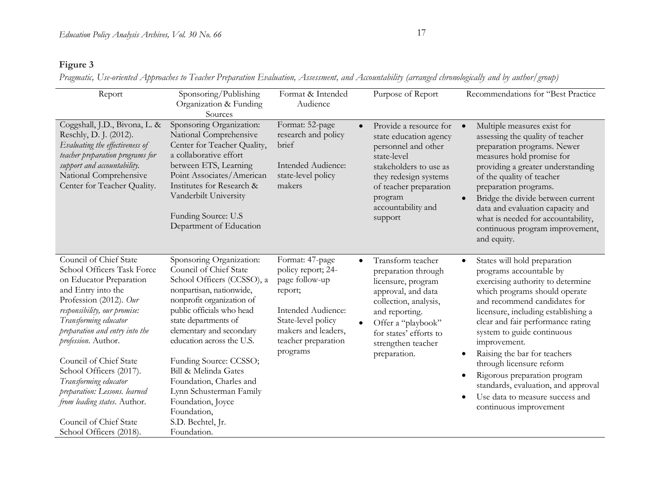### **Figure 3**

*Pragmatic, Use-oriented Approaches to Teacher Preparation Evaluation, Assessment, and Accountability (arranged chronologically and by author/group)*

| Report                                                                                                                                                                                                                                                                                                                                                                                                                                                | Sponsoring/Publishing<br>Organization & Funding<br>Sources                                                                                                                                                                                                                                                                                                                                                                              | Format & Intended<br>Audience                                                                                                                                            | Purpose of Report                                                                                                                                                                                                                  | Recommendations for "Best Practice                                                                                                                                                                                                                                                                                                                                                                                                                                                                                                          |
|-------------------------------------------------------------------------------------------------------------------------------------------------------------------------------------------------------------------------------------------------------------------------------------------------------------------------------------------------------------------------------------------------------------------------------------------------------|-----------------------------------------------------------------------------------------------------------------------------------------------------------------------------------------------------------------------------------------------------------------------------------------------------------------------------------------------------------------------------------------------------------------------------------------|--------------------------------------------------------------------------------------------------------------------------------------------------------------------------|------------------------------------------------------------------------------------------------------------------------------------------------------------------------------------------------------------------------------------|---------------------------------------------------------------------------------------------------------------------------------------------------------------------------------------------------------------------------------------------------------------------------------------------------------------------------------------------------------------------------------------------------------------------------------------------------------------------------------------------------------------------------------------------|
| Coggshall, J.D., Bivona, L. &<br>Reschly, D. J. (2012).<br>Evaluating the effectiveness of<br>teacher preparation programs for<br>support and accountability.<br>National Comprehensive<br>Center for Teacher Quality.                                                                                                                                                                                                                                | Sponsoring Organization:<br>National Comprehensive<br>Center for Teacher Quality,<br>a collaborative effort<br>between ETS, Learning<br>Point Associates/American<br>Institutes for Research &<br>Vanderbilt University<br>Funding Source: U.S.<br>Department of Education                                                                                                                                                              | Format: 52-page<br>research and policy<br>brief<br>Intended Audience:<br>state-level policy<br>makers                                                                    | Provide a resource for<br>$\bullet$<br>state education agency<br>personnel and other<br>state-level<br>stakeholders to use as<br>they redesign systems<br>of teacher preparation<br>program<br>accountability and<br>support       | Multiple measures exist for<br>assessing the quality of teacher<br>preparation programs. Newer<br>measures hold promise for<br>providing a greater understanding<br>of the quality of teacher<br>preparation programs.<br>Bridge the divide between current<br>data and evaluation capacity and<br>what is needed for accountability,<br>continuous program improvement,<br>and equity.                                                                                                                                                     |
| Council of Chief State<br>School Officers Task Force<br>on Educator Preparation<br>and Entry into the<br>Profession (2012). Our<br>responsibility, our promise:<br>Transforming educator<br>preparation and entry into the<br>profession. Author.<br>Council of Chief State<br>School Officers (2017).<br>Transforming educator<br>preparation: Lessons. learned<br>from leading states. Author.<br>Council of Chief State<br>School Officers (2018). | Sponsoring Organization:<br>Council of Chief State<br>School Officers (CCSSO), a<br>nonpartisan, nationwide,<br>nonprofit organization of<br>public officials who head<br>state departments of<br>elementary and secondary<br>education across the U.S.<br>Funding Source: CCSSO;<br>Bill & Melinda Gates<br>Foundation, Charles and<br>Lynn Schusterman Family<br>Foundation, Joyce<br>Foundation,<br>S.D. Bechtel, Jr.<br>Foundation. | Format: 47-page<br>policy report; 24-<br>page follow-up<br>report;<br>Intended Audience:<br>State-level policy<br>makers and leaders,<br>teacher preparation<br>programs | Transform teacher<br>$\bullet$<br>preparation through<br>licensure, program<br>approval, and data<br>collection, analysis,<br>and reporting.<br>Offer a "playbook"<br>for states' efforts to<br>strengthen teacher<br>preparation. | States will hold preparation<br>$\bullet$<br>programs accountable by<br>exercising authority to determine<br>which programs should operate<br>and recommend candidates for<br>licensure, including establishing a<br>clear and fair performance rating<br>system to guide continuous<br>improvement.<br>Raising the bar for teachers<br>$\bullet$<br>through licensure reform<br>Rigorous preparation program<br>$\bullet$<br>standards, evaluation, and approval<br>Use data to measure success and<br>$\bullet$<br>continuous improvement |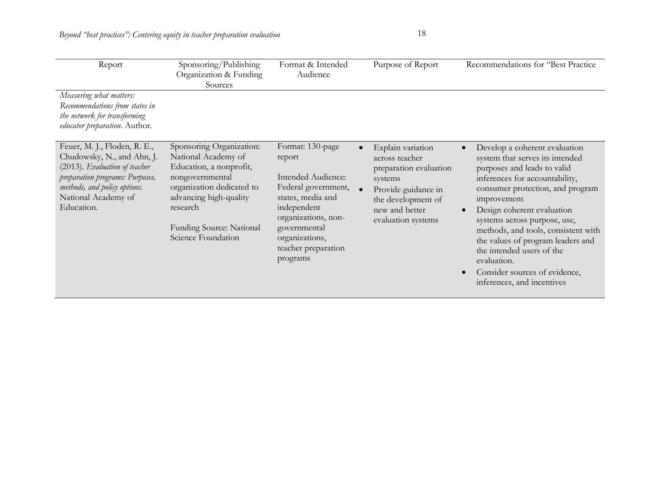| Report                                                                                                                                                                                              | Sponsoring/Publishing<br>Organization & Funding<br>Sources                                                                                                                                                         | Format & Intended<br>Audience                                                                                                                                                                           | Purpose of Report                                                                                                                                             | Recommendations for "Best Practice                                                                                                                                                                                                                                                                                                                                                                                                        |
|-----------------------------------------------------------------------------------------------------------------------------------------------------------------------------------------------------|--------------------------------------------------------------------------------------------------------------------------------------------------------------------------------------------------------------------|---------------------------------------------------------------------------------------------------------------------------------------------------------------------------------------------------------|---------------------------------------------------------------------------------------------------------------------------------------------------------------|-------------------------------------------------------------------------------------------------------------------------------------------------------------------------------------------------------------------------------------------------------------------------------------------------------------------------------------------------------------------------------------------------------------------------------------------|
| Measuring what matters:<br>Recommendations from states in<br>the network for transforming<br>educator preparation. Author.                                                                          |                                                                                                                                                                                                                    |                                                                                                                                                                                                         |                                                                                                                                                               |                                                                                                                                                                                                                                                                                                                                                                                                                                           |
| Feuer, M. J., Floden, R. E.,<br>Chudowsky, N., and Ahn, J.<br>(2013). Evaluation of teacher<br>preparation programs: Purposes,<br>methods, and policy options.<br>National Academy of<br>Education. | Sponsoring Organization:<br>National Academy of<br>Education, a nonprofit,<br>nongovernmental<br>organization dedicated to<br>advancing high-quality<br>research<br>Funding Source: National<br>Science Foundation | Format: 130-page<br>report<br>Intended Audience:<br>Federal government,<br>states, media and<br>independent<br>organizations, non-<br>governmental<br>organizations,<br>teacher preparation<br>programs | Explain variation<br>across teacher<br>preparation evaluation<br>systems<br>Provide guidance in<br>the development of<br>new and better<br>evaluation systems | Develop a coherent evaluation<br>system that serves its intended<br>purposes and leads to valid<br>inferences for accountability,<br>consumer protection, and program<br>improvement<br>Design coherent evaluation<br>systems across purpose, use,<br>methods, and tools, consistent with<br>the values of program leaders and<br>the intended users of the<br>evaluation.<br>Consider sources of evidence,<br>inferences, and incentives |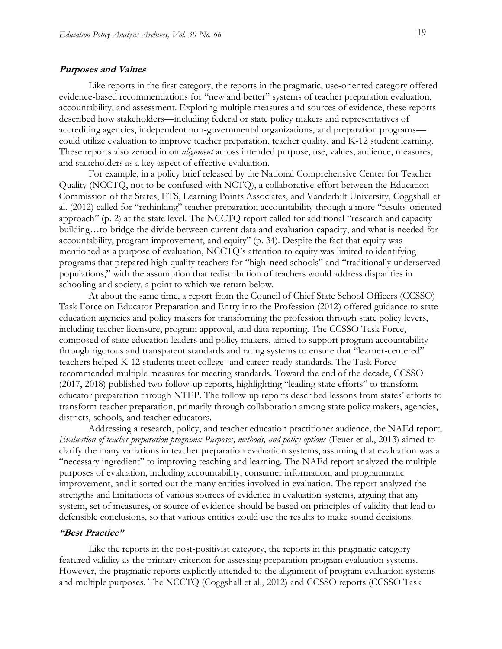#### **Purposes and Values**

Like reports in the first category, the reports in the pragmatic, use-oriented category offered evidence-based recommendations for "new and better" systems of teacher preparation evaluation, accountability, and assessment. Exploring multiple measures and sources of evidence, these reports described how stakeholders—including federal or state policy makers and representatives of accrediting agencies, independent non-governmental organizations, and preparation programs could utilize evaluation to improve teacher preparation, teacher quality, and K-12 student learning. These reports also zeroed in on *alignment* across intended purpose, use, values, audience, measures, and stakeholders as a key aspect of effective evaluation.

For example, in a policy brief released by the National Comprehensive Center for Teacher Quality (NCCTQ, not to be confused with NCTQ), a collaborative effort between the Education Commission of the States, ETS, Learning Points Associates, and Vanderbilt University, Coggshall et al. (2012) called for "rethinking" teacher preparation accountability through a more "results-oriented approach" (p. 2) at the state level. The NCCTQ report called for additional "research and capacity building…to bridge the divide between current data and evaluation capacity, and what is needed for accountability, program improvement, and equity" (p. 34). Despite the fact that equity was mentioned as a purpose of evaluation, NCCTQ's attention to equity was limited to identifying programs that prepared high quality teachers for "high-need schools" and "traditionally underserved populations," with the assumption that redistribution of teachers would address disparities in schooling and society, a point to which we return below.

At about the same time, a report from the Council of Chief State School Officers (CCSSO) Task Force on Educator Preparation and Entry into the Profession (2012) offered guidance to state education agencies and policy makers for transforming the profession through state policy levers, including teacher licensure, program approval, and data reporting. The CCSSO Task Force, composed of state education leaders and policy makers, aimed to support program accountability through rigorous and transparent standards and rating systems to ensure that "learner-centered" teachers helped K-12 students meet college- and career-ready standards. The Task Force recommended multiple measures for meeting standards. Toward the end of the decade, CCSSO (2017, 2018) published two follow-up reports, highlighting "leading state efforts" to transform educator preparation through NTEP. The follow-up reports described lessons from states' efforts to transform teacher preparation, primarily through collaboration among state policy makers, agencies, districts, schools, and teacher educators.

Addressing a research, policy, and teacher education practitioner audience, the NAEd report, *Evaluation of teacher preparation programs: Purposes, methods, and policy options* (Feuer et al., 2013) aimed to clarify the many variations in teacher preparation evaluation systems, assuming that evaluation was a "necessary ingredient" to improving teaching and learning. The NAEd report analyzed the multiple purposes of evaluation, including accountability, consumer information, and programmatic improvement, and it sorted out the many entities involved in evaluation. The report analyzed the strengths and limitations of various sources of evidence in evaluation systems, arguing that any system, set of measures, or source of evidence should be based on principles of validity that lead to defensible conclusions, so that various entities could use the results to make sound decisions.

#### **"Best Practice"**

Like the reports in the post-positivist category, the reports in this pragmatic category featured validity as the primary criterion for assessing preparation program evaluation systems. However, the pragmatic reports explicitly attended to the alignment of program evaluation systems and multiple purposes. The NCCTQ (Coggshall et al., 2012) and CCSSO reports (CCSSO Task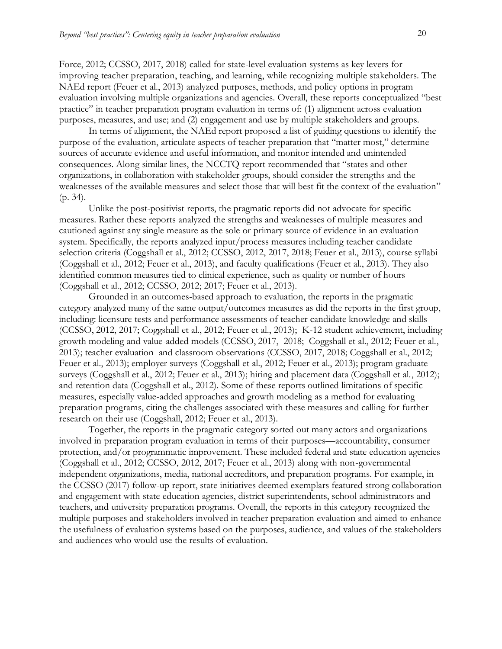Force, 2012; CCSSO, 2017, 2018) called for state-level evaluation systems as key levers for improving teacher preparation, teaching, and learning, while recognizing multiple stakeholders. The NAEd report (Feuer et al., 2013) analyzed purposes, methods, and policy options in program evaluation involving multiple organizations and agencies. Overall, these reports conceptualized "best practice" in teacher preparation program evaluation in terms of: (1) alignment across evaluation purposes, measures, and use; and (2) engagement and use by multiple stakeholders and groups.

In terms of alignment, the NAEd report proposed a list of guiding questions to identify the purpose of the evaluation, articulate aspects of teacher preparation that "matter most," determine sources of accurate evidence and useful information, and monitor intended and unintended consequences. Along similar lines, the NCCTQ report recommended that "states and other organizations, in collaboration with stakeholder groups, should consider the strengths and the weaknesses of the available measures and select those that will best fit the context of the evaluation" (p. 34).

Unlike the post-positivist reports, the pragmatic reports did not advocate for specific measures. Rather these reports analyzed the strengths and weaknesses of multiple measures and cautioned against any single measure as the sole or primary source of evidence in an evaluation system. Specifically, the reports analyzed input/process measures including teacher candidate selection criteria (Coggshall et al., 2012; CCSSO, 2012, 2017, 2018; Feuer et al., 2013), course syllabi (Coggshall et al., 2012; Feuer et al., 2013), and faculty qualifications (Feuer et al., 2013). They also identified common measures tied to clinical experience, such as quality or number of hours (Coggshall et al., 2012; CCSSO, 2012; 2017; Feuer et al., 2013).

Grounded in an outcomes-based approach to evaluation, the reports in the pragmatic category analyzed many of the same output/outcomes measures as did the reports in the first group, including: licensure tests and performance assessments of teacher candidate knowledge and skills (CCSSO, 2012, 2017; Coggshall et al., 2012; Feuer et al., 2013); K-12 student achievement, including growth modeling and value-added models (CCSSO, 2017, 2018; Coggshall et al., 2012; Feuer et al., 2013); teacher evaluation and classroom observations (CCSSO, 2017, 2018; Coggshall et al., 2012; Feuer et al., 2013); employer surveys (Coggshall et al., 2012; Feuer et al., 2013); program graduate surveys (Coggshall et al., 2012; Feuer et al., 2013); hiring and placement data (Coggshall et al., 2012); and retention data (Coggshall et al., 2012). Some of these reports outlined limitations of specific measures, especially value-added approaches and growth modeling as a method for evaluating preparation programs, citing the challenges associated with these measures and calling for further research on their use (Coggshall, 2012; Feuer et al., 2013).

Together, the reports in the pragmatic category sorted out many actors and organizations involved in preparation program evaluation in terms of their purposes—accountability, consumer protection, and/or programmatic improvement. These included federal and state education agencies (Coggshall et al., 2012; CCSSO, 2012, 2017; Feuer et al., 2013) along with non-governmental independent organizations, media, national accreditors, and preparation programs. For example, in the CCSSO (2017) follow-up report, state initiatives deemed exemplars featured strong collaboration and engagement with state education agencies, district superintendents, school administrators and teachers, and university preparation programs. Overall, the reports in this category recognized the multiple purposes and stakeholders involved in teacher preparation evaluation and aimed to enhance the usefulness of evaluation systems based on the purposes, audience, and values of the stakeholders and audiences who would use the results of evaluation.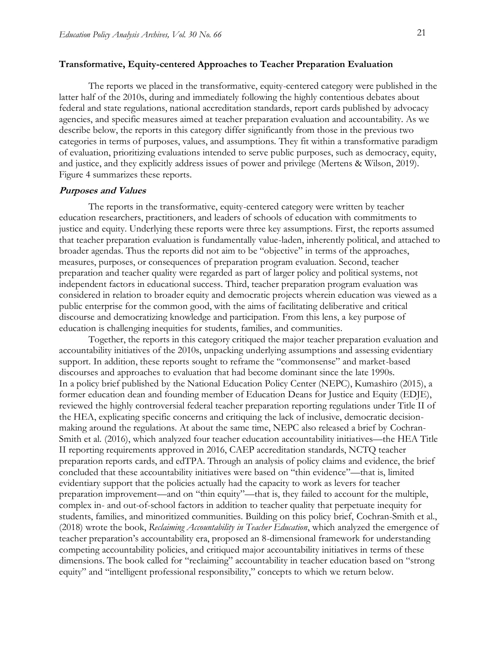#### **Transformative, Equity-centered Approaches to Teacher Preparation Evaluation**

The reports we placed in the transformative, equity-centered category were published in the latter half of the 2010s, during and immediately following the highly contentious debates about federal and state regulations, national accreditation standards, report cards published by advocacy agencies, and specific measures aimed at teacher preparation evaluation and accountability. As we describe below, the reports in this category differ significantly from those in the previous two categories in terms of purposes, values, and assumptions. They fit within a transformative paradigm of evaluation, prioritizing evaluations intended to serve public purposes, such as democracy, equity, and justice, and they explicitly address issues of power and privilege (Mertens & Wilson, 2019). Figure 4 summarizes these reports.

#### **Purposes and Values**

The reports in the transformative, equity-centered category were written by teacher education researchers, practitioners, and leaders of schools of education with commitments to justice and equity. Underlying these reports were three key assumptions. First, the reports assumed that teacher preparation evaluation is fundamentally value-laden, inherently political, and attached to broader agendas. Thus the reports did not aim to be "objective" in terms of the approaches, measures, purposes, or consequences of preparation program evaluation. Second, teacher preparation and teacher quality were regarded as part of larger policy and political systems, not independent factors in educational success. Third, teacher preparation program evaluation was considered in relation to broader equity and democratic projects wherein education was viewed as a public enterprise for the common good, with the aims of facilitating deliberative and critical discourse and democratizing knowledge and participation. From this lens, a key purpose of education is challenging inequities for students, families, and communities.

Together, the reports in this category critiqued the major teacher preparation evaluation and accountability initiatives of the 2010s, unpacking underlying assumptions and assessing evidentiary support. In addition, these reports sought to reframe the "commonsense" and market-based discourses and approaches to evaluation that had become dominant since the late 1990s. In a policy brief published by the National Education Policy Center (NEPC), Kumashiro (2015), a former education dean and founding member of Education Deans for Justice and Equity (EDJE), reviewed the highly controversial federal teacher preparation reporting regulations under Title II of the HEA, explicating specific concerns and critiquing the lack of inclusive, democratic decisionmaking around the regulations. At about the same time, NEPC also released a brief by Cochran-Smith et al. (2016), which analyzed four teacher education accountability initiatives—the HEA Title II reporting requirements approved in 2016, CAEP accreditation standards, NCTQ teacher preparation reports cards, and edTPA. Through an analysis of policy claims and evidence, the brief concluded that these accountability initiatives were based on "thin evidence"—that is, limited evidentiary support that the policies actually had the capacity to work as levers for teacher preparation improvement—and on "thin equity"—that is, they failed to account for the multiple, complex in- and out-of-school factors in addition to teacher quality that perpetuate inequity for students, families, and minoritized communities. Building on this policy brief, Cochran-Smith et al., (2018) wrote the book, *Reclaiming Accountability in Teacher Education*, which analyzed the emergence of teacher preparation's accountability era, proposed an 8-dimensional framework for understanding competing accountability policies, and critiqued major accountability initiatives in terms of these dimensions. The book called for "reclaiming" accountability in teacher education based on "strong equity" and "intelligent professional responsibility," concepts to which we return below.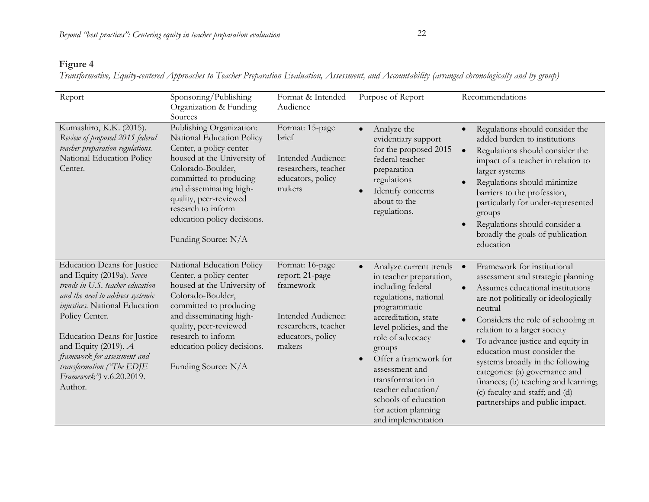### **Figure 4**

*Transformative, Equity-centered Approaches to Teacher Preparation Evaluation, Assessment, and Accountability (arranged chronologically and by group)*

| Report                                                                                                                                                                                                                                                                                                                                                          | Sponsoring/Publishing<br>Organization & Funding<br>Sources                                                                                                                                                                                                                                      | Format & Intended<br>Audience                                                                                                | Purpose of Report                                                                                                                                                                                                                                                                                                                                                        | Recommendations                                                                                                                                                                                                                                                                                                                                                                                                                                                                                                                         |
|-----------------------------------------------------------------------------------------------------------------------------------------------------------------------------------------------------------------------------------------------------------------------------------------------------------------------------------------------------------------|-------------------------------------------------------------------------------------------------------------------------------------------------------------------------------------------------------------------------------------------------------------------------------------------------|------------------------------------------------------------------------------------------------------------------------------|--------------------------------------------------------------------------------------------------------------------------------------------------------------------------------------------------------------------------------------------------------------------------------------------------------------------------------------------------------------------------|-----------------------------------------------------------------------------------------------------------------------------------------------------------------------------------------------------------------------------------------------------------------------------------------------------------------------------------------------------------------------------------------------------------------------------------------------------------------------------------------------------------------------------------------|
| Kumashiro, K.K. (2015).<br>Review of proposed 2015 federal<br>teacher preparation regulations.<br>National Education Policy<br>Center.                                                                                                                                                                                                                          | Publishing Organization:<br>National Education Policy<br>Center, a policy center<br>housed at the University of<br>Colorado-Boulder,<br>committed to producing<br>and disseminating high-<br>quality, peer-reviewed<br>research to inform<br>education policy decisions.<br>Funding Source: N/A | Format: 15-page<br>brief<br>Intended Audience:<br>researchers, teacher<br>educators, policy<br>makers                        | Analyze the<br>$\bullet$<br>evidentiary support<br>for the proposed 2015<br>federal teacher<br>preparation<br>regulations<br>Identify concerns<br>about to the<br>regulations.                                                                                                                                                                                           | Regulations should consider the<br>$\bullet$<br>added burden to institutions<br>Regulations should consider the<br>$\bullet$<br>impact of a teacher in relation to<br>larger systems<br>Regulations should minimize<br>barriers to the profession,<br>particularly for under-represented<br>groups<br>Regulations should consider a<br>$\bullet$<br>broadly the goals of publication<br>education                                                                                                                                       |
| <b>Education Deans for Justice</b><br>and Equity (2019a). Seven<br>trends in U.S. teacher education<br>and the need to address systemic<br>injustices. National Education<br>Policy Center.<br><b>Education Deans for Justice</b><br>and Equity (2019). $A$<br>framework for assessment and<br>transformation ("The EDJE<br>Framework") v.6.20.2019.<br>Author. | National Education Policy<br>Center, a policy center<br>housed at the University of<br>Colorado-Boulder,<br>committed to producing<br>and disseminating high-<br>quality, peer-reviewed<br>research to inform<br>education policy decisions.<br>Funding Source: N/A                             | Format: 16-page<br>report; 21-page<br>framework<br>Intended Audience:<br>researchers, teacher<br>educators, policy<br>makers | Analyze current trends<br>$\bullet$<br>in teacher preparation,<br>including federal<br>regulations, national<br>programmatic<br>accreditation, state<br>level policies, and the<br>role of advocacy<br>groups<br>Offer a framework for<br>assessment and<br>transformation in<br>teacher education/<br>schools of education<br>for action planning<br>and implementation | Framework for institutional<br>$\bullet$<br>assessment and strategic planning<br>Assumes educational institutions<br>$\bullet$<br>are not politically or ideologically<br>neutral<br>Considers the role of schooling in<br>$\bullet$<br>relation to a larger society<br>To advance justice and equity in<br>$\bullet$<br>education must consider the<br>systems broadly in the following<br>categories: (a) governance and<br>finances; (b) teaching and learning;<br>(c) faculty and staff; and (d)<br>partnerships and public impact. |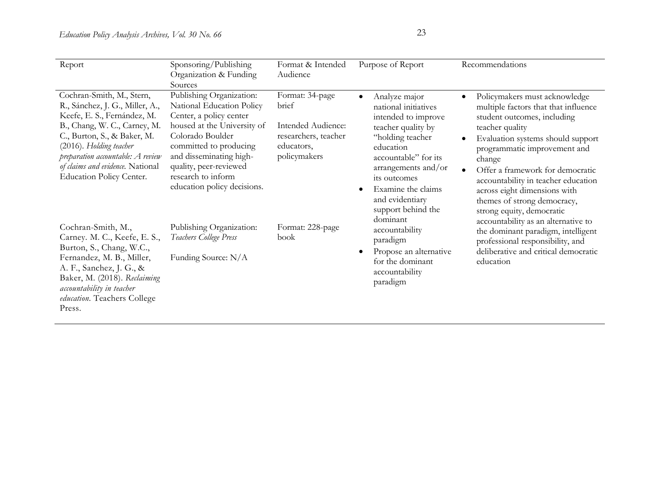| Report                                                                                                                                                                                                                                                                                            | Sponsoring/Publishing<br>Organization & Funding                                                                                                                                                                                                                                    | Format & Intended<br>Audience                                                                        | Purpose of Report                                                                                                                                                                                                                                                                                                                                                                                                            | Recommendations                                                                                                                                                                                                                                                                                                                                                               |
|---------------------------------------------------------------------------------------------------------------------------------------------------------------------------------------------------------------------------------------------------------------------------------------------------|------------------------------------------------------------------------------------------------------------------------------------------------------------------------------------------------------------------------------------------------------------------------------------|------------------------------------------------------------------------------------------------------|------------------------------------------------------------------------------------------------------------------------------------------------------------------------------------------------------------------------------------------------------------------------------------------------------------------------------------------------------------------------------------------------------------------------------|-------------------------------------------------------------------------------------------------------------------------------------------------------------------------------------------------------------------------------------------------------------------------------------------------------------------------------------------------------------------------------|
| Cochran-Smith, M., Stern,<br>R., Sánchez, J. G., Miller, A.,<br>Keefe, E. S., Fernández, M.<br>B., Chang, W. C., Carney, M.<br>C., Burton, S., & Baker, M.<br>(2016). Holding teacher<br>preparation accountable: A review<br>of claims and evidence. National<br><b>Education Policy Center.</b> | Sources<br>Publishing Organization:<br>National Education Policy<br>Center, a policy center<br>housed at the University of<br>Colorado Boulder<br>committed to producing<br>and disseminating high-<br>quality, peer-reviewed<br>research to inform<br>education policy decisions. | Format: 34-page<br>brief<br>Intended Audience:<br>researchers, teacher<br>educators,<br>policymakers | Analyze major<br>$\bullet$<br>$\bullet$<br>national initiatives<br>intended to improve<br>teacher quality by<br>"holding teacher"<br>$\bullet$<br>education<br>accountable" for its<br>arrangements and/or<br>its outcomes<br>Examine the claims<br>$\bullet$<br>and evidentiary<br>support behind the<br>dominant<br>accountability<br>paradigm<br>Propose an alternative<br>for the dominant<br>accountability<br>paradigm | Policymakers must acknowledge<br>multiple factors that that influence<br>student outcomes, including<br>teacher quality<br>Evaluation systems should support<br>programmatic improvement and<br>change<br>Offer a framework for democratic<br>accountability in teacher education<br>across eight dimensions with<br>themes of strong democracy,<br>strong equity, democratic |
| Cochran-Smith, M.,<br>Carney. M. C., Keefe, E. S.,<br>Burton, S., Chang, W.C.,<br>Fernandez, M. B., Miller,<br>A. F., Sanchez, J. G., &<br>Baker, M. (2018). Reclaiming<br>accountability in teacher<br>education. Teachers College<br>Press.                                                     | Publishing Organization:<br>Teachers College Press<br>Funding Source: N/A                                                                                                                                                                                                          | Format: 228-page<br>book                                                                             |                                                                                                                                                                                                                                                                                                                                                                                                                              | accountability as an alternative to<br>the dominant paradigm, intelligent<br>professional responsibility, and<br>deliberative and critical democratic<br>education                                                                                                                                                                                                            |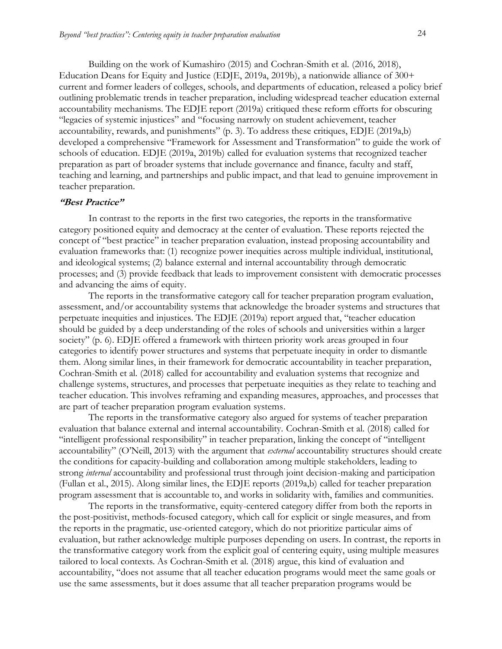Building on the work of Kumashiro (2015) and Cochran-Smith et al. (2016, 2018), Education Deans for Equity and Justice (EDJE, 2019a, 2019b), a nationwide alliance of 300+ current and former leaders of colleges, schools, and departments of education, released a policy brief outlining problematic trends in teacher preparation, including widespread teacher education external accountability mechanisms. The EDJE report (2019a) critiqued these reform efforts for obscuring "legacies of systemic injustices" and "focusing narrowly on student achievement, teacher accountability, rewards, and punishments" (p. 3). To address these critiques, EDJE (2019a,b) developed a comprehensive "Framework for Assessment and Transformation" to guide the work of schools of education. EDJE (2019a, 2019b) called for evaluation systems that recognized teacher preparation as part of broader systems that include governance and finance, faculty and staff, teaching and learning, and partnerships and public impact, and that lead to genuine improvement in teacher preparation.

#### **"Best Practice"**

In contrast to the reports in the first two categories, the reports in the transformative category positioned equity and democracy at the center of evaluation. These reports rejected the concept of "best practice" in teacher preparation evaluation, instead proposing accountability and evaluation frameworks that: (1) recognize power inequities across multiple individual, institutional, and ideological systems; (2) balance external and internal accountability through democratic processes; and (3) provide feedback that leads to improvement consistent with democratic processes and advancing the aims of equity.

The reports in the transformative category call for teacher preparation program evaluation, assessment, and/or accountability systems that acknowledge the broader systems and structures that perpetuate inequities and injustices. The EDJE (2019a) report argued that, "teacher education should be guided by a deep understanding of the roles of schools and universities within a larger society" (p. 6). EDJE offered a framework with thirteen priority work areas grouped in four categories to identify power structures and systems that perpetuate inequity in order to dismantle them. Along similar lines, in their framework for democratic accountability in teacher preparation, Cochran-Smith et al. (2018) called for accountability and evaluation systems that recognize and challenge systems, structures, and processes that perpetuate inequities as they relate to teaching and teacher education. This involves reframing and expanding measures, approaches, and processes that are part of teacher preparation program evaluation systems.

The reports in the transformative category also argued for systems of teacher preparation evaluation that balance external and internal accountability. Cochran-Smith et al. (2018) called for "intelligent professional responsibility" in teacher preparation, linking the concept of "intelligent accountability" (O'Neill, 2013) with the argument that *external* accountability structures should create the conditions for capacity-building and collaboration among multiple stakeholders, leading to strong *internal* accountability and professional trust through joint decision-making and participation (Fullan et al., 2015). Along similar lines, the EDJE reports (2019a,b) called for teacher preparation program assessment that is accountable to, and works in solidarity with, families and communities.

The reports in the transformative, equity-centered category differ from both the reports in the post-positivist, methods-focused category, which call for explicit or single measures, and from the reports in the pragmatic, use-oriented category, which do not prioritize particular aims of evaluation, but rather acknowledge multiple purposes depending on users. In contrast, the reports in the transformative category work from the explicit goal of centering equity, using multiple measures tailored to local contexts. As Cochran-Smith et al. (2018) argue, this kind of evaluation and accountability, "does not assume that all teacher education programs would meet the same goals or use the same assessments, but it does assume that all teacher preparation programs would be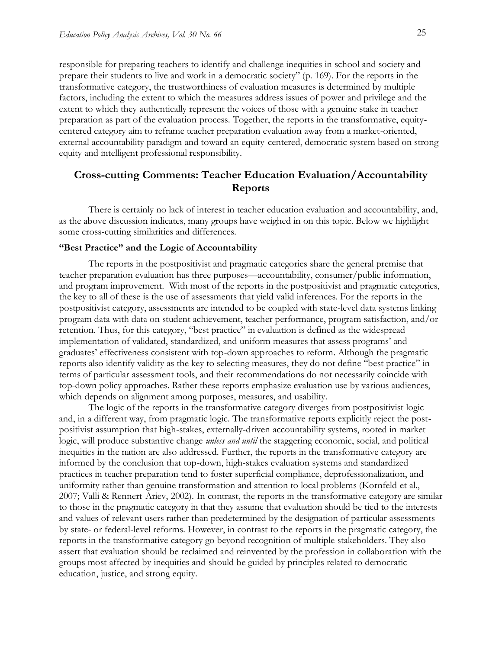responsible for preparing teachers to identify and challenge inequities in school and society and prepare their students to live and work in a democratic society" (p. 169). For the reports in the transformative category, the trustworthiness of evaluation measures is determined by multiple factors, including the extent to which the measures address issues of power and privilege and the extent to which they authentically represent the voices of those with a genuine stake in teacher preparation as part of the evaluation process. Together, the reports in the transformative, equitycentered category aim to reframe teacher preparation evaluation away from a market-oriented, external accountability paradigm and toward an equity-centered, democratic system based on strong equity and intelligent professional responsibility.

### **Cross-cutting Comments: Teacher Education Evaluation/Accountability Reports**

There is certainly no lack of interest in teacher education evaluation and accountability, and, as the above discussion indicates, many groups have weighed in on this topic. Below we highlight some cross-cutting similarities and differences.

#### **"Best Practice" and the Logic of Accountability**

The reports in the postpositivist and pragmatic categories share the general premise that teacher preparation evaluation has three purposes—accountability, consumer/public information, and program improvement. With most of the reports in the postpositivist and pragmatic categories, the key to all of these is the use of assessments that yield valid inferences. For the reports in the postpositivist category, assessments are intended to be coupled with state-level data systems linking program data with data on student achievement, teacher performance, program satisfaction, and/or retention. Thus, for this category, "best practice" in evaluation is defined as the widespread implementation of validated, standardized, and uniform measures that assess programs' and graduates' effectiveness consistent with top-down approaches to reform. Although the pragmatic reports also identify validity as the key to selecting measures, they do not define "best practice" in terms of particular assessment tools, and their recommendations do not necessarily coincide with top-down policy approaches. Rather these reports emphasize evaluation use by various audiences, which depends on alignment among purposes, measures, and usability.

The logic of the reports in the transformative category diverges from postpositivist logic and, in a different way, from pragmatic logic. The transformative reports explicitly reject the postpositivist assumption that high-stakes, externally-driven accountability systems, rooted in market logic, will produce substantive change *unless and until* the staggering economic, social, and political inequities in the nation are also addressed. Further, the reports in the transformative category are informed by the conclusion that top-down, high-stakes evaluation systems and standardized practices in teacher preparation tend to foster superficial compliance, deprofessionalization, and uniformity rather than genuine transformation and attention to local problems (Kornfeld et al., 2007; Valli & Rennert-Ariev, 2002). In contrast, the reports in the transformative category are similar to those in the pragmatic category in that they assume that evaluation should be tied to the interests and values of relevant users rather than predetermined by the designation of particular assessments by state- or federal-level reforms. However, in contrast to the reports in the pragmatic category, the reports in the transformative category go beyond recognition of multiple stakeholders. They also assert that evaluation should be reclaimed and reinvented by the profession in collaboration with the groups most affected by inequities and should be guided by principles related to democratic education, justice, and strong equity.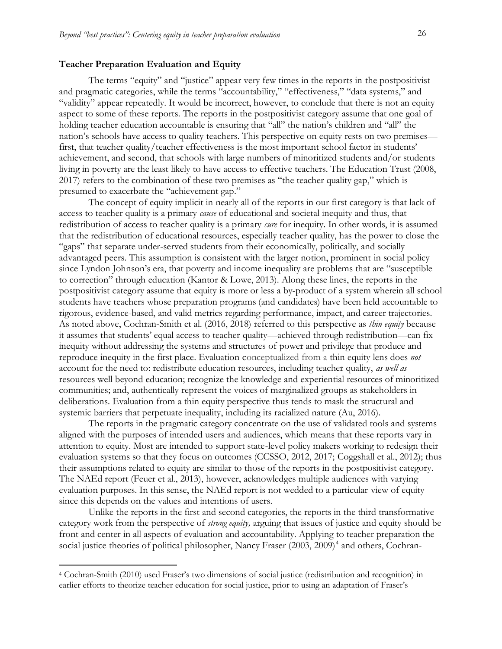#### **Teacher Preparation Evaluation and Equity**

The terms "equity" and "justice" appear very few times in the reports in the postpositivist and pragmatic categories, while the terms "accountability," "effectiveness," "data systems," and "validity" appear repeatedly. It would be incorrect, however, to conclude that there is not an equity aspect to some of these reports. The reports in the postpositivist category assume that one goal of holding teacher education accountable is ensuring that "all" the nation's children and "all" the nation's schools have access to quality teachers. This perspective on equity rests on two premises first, that teacher quality/teacher effectiveness is the most important school factor in students' achievement, and second, that schools with large numbers of minoritized students and/or students living in poverty are the least likely to have access to effective teachers. The Education Trust (2008, 2017) refers to the combination of these two premises as "the teacher quality gap," which is presumed to exacerbate the "achievement gap."

The concept of equity implicit in nearly all of the reports in our first category is that lack of access to teacher quality is a primary *cause* of educational and societal inequity and thus, that redistribution of access to teacher quality is a primary *cure* for inequity. In other words, it is assumed that the redistribution of educational resources, especially teacher quality, has the power to close the "gaps" that separate under-served students from their economically, politically, and socially advantaged peers. This assumption is consistent with the larger notion, prominent in social policy since Lyndon Johnson's era, that poverty and income inequality are problems that are "susceptible to correction" through education (Kantor & Lowe, 2013). Along these lines, the reports in the postpositivist category assume that equity is more or less a by-product of a system wherein all school students have teachers whose preparation programs (and candidates) have been held accountable to rigorous, evidence-based, and valid metrics regarding performance, impact, and career trajectories. As noted above, Cochran-Smith et al. (2016, 2018) referred to this perspective as *thin equity* because it assumes that students' equal access to teacher quality—achieved through redistribution—can fix inequity without addressing the systems and structures of power and privilege that produce and reproduce inequity in the first place. Evaluation conceptualized from a thin equity lens does *not* account for the need to: redistribute education resources, including teacher quality, *as well as* resources well beyond education; recognize the knowledge and experiential resources of minoritized communities; and, authentically represent the voices of marginalized groups as stakeholders in deliberations. Evaluation from a thin equity perspective thus tends to mask the structural and systemic barriers that perpetuate inequality, including its racialized nature (Au, 2016).

The reports in the pragmatic category concentrate on the use of validated tools and systems aligned with the purposes of intended users and audiences, which means that these reports vary in attention to equity. Most are intended to support state-level policy makers working to redesign their evaluation systems so that they focus on outcomes (CCSSO, 2012, 2017; Coggshall et al., 2012); thus their assumptions related to equity are similar to those of the reports in the postpositivist category. The NAEd report (Feuer et al., 2013), however, acknowledges multiple audiences with varying evaluation purposes. In this sense, the NAEd report is not wedded to a particular view of equity since this depends on the values and intentions of users.

Unlike the reports in the first and second categories, the reports in the third transformative category work from the perspective of *strong equity,* arguing that issues of justice and equity should be front and center in all aspects of evaluation and accountability. Applying to teacher preparation the social justice theories of political philosopher, Nancy Fraser (2003, 2009)<sup>4</sup> and others, Cochran-

 $\overline{a}$ 

<sup>4</sup> Cochran-Smith (2010) used Fraser's two dimensions of social justice (redistribution and recognition) in earlier efforts to theorize teacher education for social justice, prior to using an adaptation of Fraser's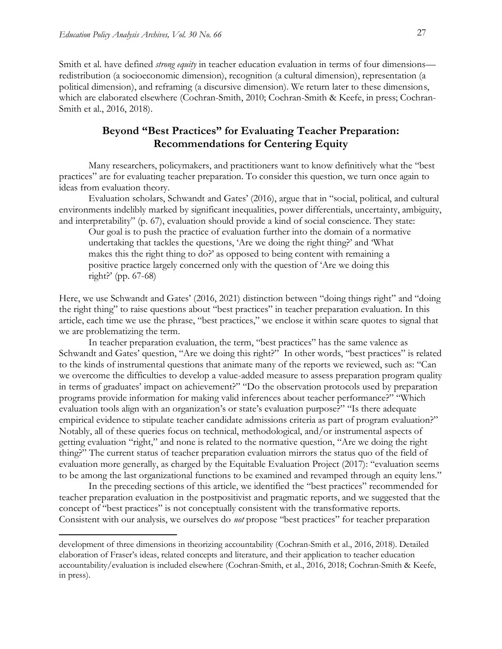$\overline{a}$ 

Smith et al. have defined *strong equity* in teacher education evaluation in terms of four dimensions redistribution (a socioeconomic dimension), recognition (a cultural dimension), representation (a political dimension), and reframing (a discursive dimension). We return later to these dimensions, which are elaborated elsewhere (Cochran-Smith, 2010; Cochran-Smith & Keefe, in press; Cochran-Smith et al., 2016, 2018).

### **Beyond "Best Practices" for Evaluating Teacher Preparation: Recommendations for Centering Equity**

Many researchers, policymakers, and practitioners want to know definitively what the "best practices" are for evaluating teacher preparation. To consider this question, we turn once again to ideas from evaluation theory.

Evaluation scholars, Schwandt and Gates' (2016), argue that in "social, political, and cultural environments indelibly marked by significant inequalities, power differentials, uncertainty, ambiguity, and interpretability" (p. 67), evaluation should provide a kind of social conscience. They state:

Our goal is to push the practice of evaluation further into the domain of a normative undertaking that tackles the questions, 'Are we doing the right thing?' and 'What makes this the right thing to do?' as opposed to being content with remaining a positive practice largely concerned only with the question of 'Are we doing this right?' (pp. 67-68)

Here, we use Schwandt and Gates' (2016, 2021) distinction between "doing things right" and "doing the right thing" to raise questions about "best practices" in teacher preparation evaluation. In this article, each time we use the phrase, "best practices," we enclose it within scare quotes to signal that we are problematizing the term.

In teacher preparation evaluation, the term, "best practices" has the same valence as Schwandt and Gates' question, "Are we doing this right?" In other words, "best practices" is related to the kinds of instrumental questions that animate many of the reports we reviewed, such as: "Can we overcome the difficulties to develop a value-added measure to assess preparation program quality in terms of graduates' impact on achievement?" "Do the observation protocols used by preparation programs provide information for making valid inferences about teacher performance?" "Which evaluation tools align with an organization's or state's evaluation purpose?" "Is there adequate empirical evidence to stipulate teacher candidate admissions criteria as part of program evaluation?" Notably, all of these queries focus on technical, methodological, and/or instrumental aspects of getting evaluation "right," and none is related to the normative question, "Are we doing the right thing?" The current status of teacher preparation evaluation mirrors the status quo of the field of evaluation more generally, as charged by the Equitable Evaluation Project (2017): "evaluation seems to be among the last organizational functions to be examined and revamped through an equity lens."

 In the preceding sections of this article, we identified the "best practices" recommended for teacher preparation evaluation in the postpositivist and pragmatic reports, and we suggested that the concept of "best practices" is not conceptually consistent with the transformative reports. Consistent with our analysis, we ourselves do *not* propose "best practices" for teacher preparation

development of three dimensions in theorizing accountability (Cochran-Smith et al., 2016, 2018). Detailed elaboration of Fraser's ideas, related concepts and literature, and their application to teacher education accountability/evaluation is included elsewhere (Cochran-Smith, et al., 2016, 2018; Cochran-Smith & Keefe, in press).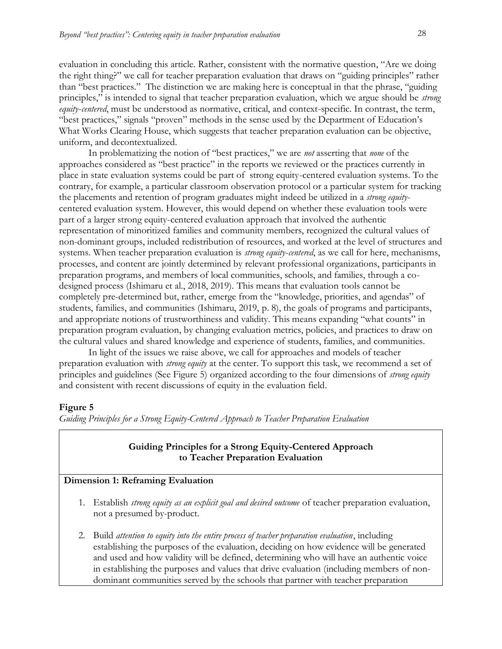evaluation in concluding this article. Rather, consistent with the normative question, "Are we doing the right thing?" we call for teacher preparation evaluation that draws on "guiding principles" rather than "best practices." The distinction we are making here is conceptual in that the phrase, "guiding principles," is intended to signal that teacher preparation evaluation, which we argue should be *strong equity*-*centered*, must be understood as normative, critical, and context-specific. In contrast, the term, "best practices," signals "proven" methods in the sense used by the Department of Education's What Works Clearing House, which suggests that teacher preparation evaluation can be objective, uniform, and decontextualized.

In problematizing the notion of "best practices," we are *not* asserting that *none* of the approaches considered as "best practice" in the reports we reviewed or the practices currently in place in state evaluation systems could be part of strong equity-centered evaluation systems. To the contrary, for example, a particular classroom observation protocol or a particular system for tracking the placements and retention of program graduates might indeed be utilized in a *strong equity*centered evaluation system. However, this would depend on whether these evaluation tools were part of a larger strong equity-centered evaluation approach that involved the authentic representation of minoritized families and community members, recognized the cultural values of non-dominant groups, included redistribution of resources, and worked at the level of structures and systems. When teacher preparation evaluation is *strong equity*-*centered*, as we call for here, mechanisms, processes, and content are jointly determined by relevant professional organizations, participants in preparation programs, and members of local communities, schools, and families, through a codesigned process (Ishimaru et al., 2018, 2019). This means that evaluation tools cannot be completely pre-determined but, rather, emerge from the "knowledge, priorities, and agendas" of students, families, and communities (Ishimaru, 2019, p. 8), the goals of programs and participants, and appropriate notions of trustworthiness and validity. This means expanding "what counts" in preparation program evaluation, by changing evaluation metrics, policies, and practices to draw on the cultural values and shared knowledge and experience of students, families, and communities.

In light of the issues we raise above, we call for approaches and models of teacher preparation evaluation with *strong equity* at the center. To support this task, we recommend a set of principles and guidelines (See Figure 5) organized according to the four dimensions of *strong equity* and consistent with recent discussions of equity in the evaluation field.

#### **Figure 5**

*Guiding Principles for a Strong Equity-Centered Approach to Teacher Preparation Evaluation*

#### **Guiding Principles for a Strong Equity-Centered Approach to Teacher Preparation Evaluation**

#### **Dimension 1: Reframing Evaluation**

- 1. Establish *strong equity as an explicit goal and desired outcome* of teacher preparation evaluation, not a presumed by-product.
- 2. Build *attention to equity into the entire process of teacher preparation evaluation*, including establishing the purposes of the evaluation, deciding on how evidence will be generated and used and how validity will be defined, determining who will have an authentic voice in establishing the purposes and values that drive evaluation (including members of nondominant communities served by the schools that partner with teacher preparation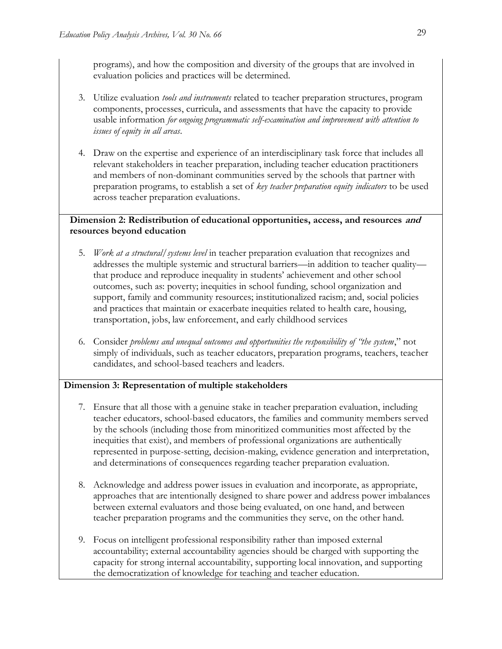programs), and how the composition and diversity of the groups that are involved in evaluation policies and practices will be determined.

- 3. Utilize evaluation *tools and instruments* related to teacher preparation structures, program components, processes, curricula, and assessments that have the capacity to provide usable information *for ongoing programmatic self-examination and improvement with attention to issues of equity in all areas*.
- 4. Draw on the expertise and experience of an interdisciplinary task force that includes all relevant stakeholders in teacher preparation, including teacher education practitioners and members of non-dominant communities served by the schools that partner with preparation programs, to establish a set of *key teacher preparation equity indicators* to be used across teacher preparation evaluations.

### **Dimension 2: Redistribution of educational opportunities, access, and resources and resources beyond education**

- 5. *Work at a structural/systems level* in teacher preparation evaluation that recognizes and addresses the multiple systemic and structural barriers—in addition to teacher quality that produce and reproduce inequality in students' achievement and other school outcomes, such as: poverty; inequities in school funding, school organization and support, family and community resources; institutionalized racism; and, social policies and practices that maintain or exacerbate inequities related to health care, housing, transportation, jobs, law enforcement, and early childhood services
- 6. Consider *problems and unequal outcomes and opportunities the responsibility of "the system*," not simply of individuals, such as teacher educators, preparation programs, teachers, teacher candidates, and school-based teachers and leaders.

### **Dimension 3: Representation of multiple stakeholders**

- 7. Ensure that all those with a genuine stake in teacher preparation evaluation, including teacher educators, school-based educators, the families and community members served by the schools (including those from minoritized communities most affected by the inequities that exist), and members of professional organizations are authentically represented in purpose-setting, decision-making, evidence generation and interpretation, and determinations of consequences regarding teacher preparation evaluation.
- 8. Acknowledge and address power issues in evaluation and incorporate, as appropriate, approaches that are intentionally designed to share power and address power imbalances between external evaluators and those being evaluated, on one hand, and between teacher preparation programs and the communities they serve, on the other hand.
- 9. Focus on intelligent professional responsibility rather than imposed external accountability; external accountability agencies should be charged with supporting the capacity for strong internal accountability, supporting local innovation, and supporting the democratization of knowledge for teaching and teacher education.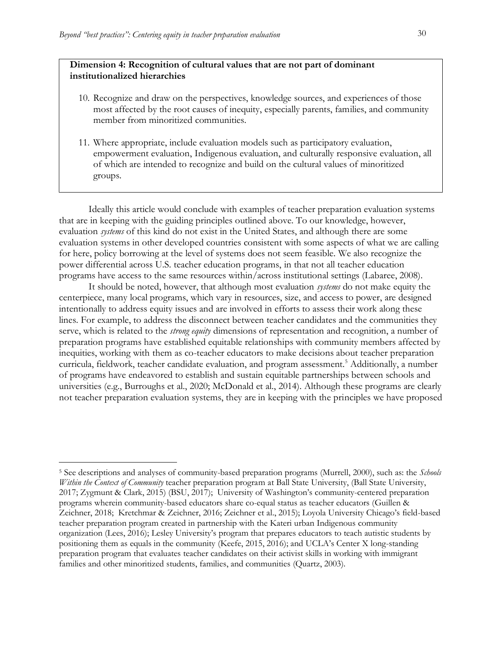$\overline{a}$ 

#### **Dimension 4: Recognition of cultural values that are not part of dominant institutionalized hierarchies**

- 10. Recognize and draw on the perspectives, knowledge sources, and experiences of those most affected by the root causes of inequity, especially parents, families, and community member from minoritized communities.
- 11. Where appropriate, include evaluation models such as participatory evaluation, empowerment evaluation, Indigenous evaluation, and culturally responsive evaluation, all of which are intended to recognize and build on the cultural values of minoritized groups.

Ideally this article would conclude with examples of teacher preparation evaluation systems that are in keeping with the guiding principles outlined above. To our knowledge, however, evaluation *systems* of this kind do not exist in the United States, and although there are some evaluation systems in other developed countries consistent with some aspects of what we are calling for here, policy borrowing at the level of systems does not seem feasible. We also recognize the power differential across U.S. teacher education programs, in that not all teacher education programs have access to the same resources within/across institutional settings (Labaree, 2008).

It should be noted, however, that although most evaluation *systems* do not make equity the centerpiece, many local programs, which vary in resources, size, and access to power, are designed intentionally to address equity issues and are involved in efforts to assess their work along these lines. For example, to address the disconnect between teacher candidates and the communities they serve, which is related to the *strong equity* dimensions of representation and recognition, a number of preparation programs have established equitable relationships with community members affected by inequities, working with them as co-teacher educators to make decisions about teacher preparation curricula, fieldwork, teacher candidate evaluation, and program assessment.<sup>5</sup> Additionally, a number of programs have endeavored to establish and sustain equitable partnerships between schools and universities (e.g., Burroughs et al., 2020; McDonald et al., 2014). Although these programs are clearly not teacher preparation evaluation systems, they are in keeping with the principles we have proposed

<sup>5</sup> See descriptions and analyses of community-based preparation programs (Murrell, 2000), such as: the *Schools Within the Context of Community* teacher preparation program at Ball State University, (Ball State University, 2017; Zygmunt & Clark, 2015) (BSU, 2017); University of Washington's community-centered preparation programs wherein community-based educators share co-equal status as teacher educators (Guillen & Zeichner, 2018; Kretchmar & Zeichner, 2016; Zeichner et al., 2015); Loyola University Chicago's field-based teacher preparation program created in partnership with the Kateri urban Indigenous community organization (Lees, 2016); Lesley University's program that prepares educators to teach autistic students by positioning them as equals in the community (Keefe, 2015, 2016); and UCLA's Center X long-standing preparation program that evaluates teacher candidates on their activist skills in working with immigrant families and other minoritized students, families, and communities (Quartz, 2003).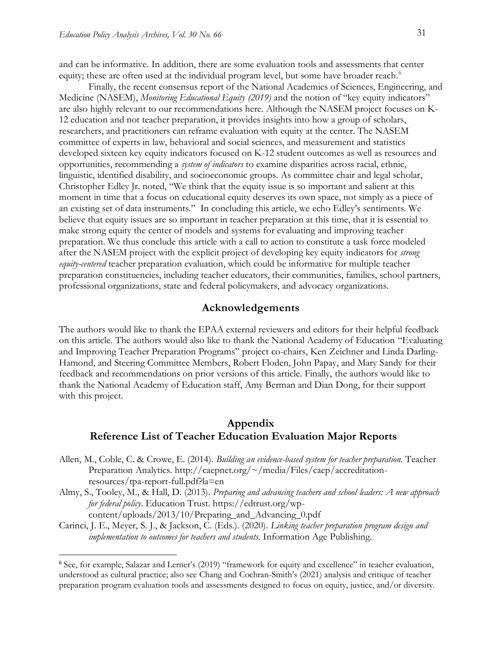and can be informative. In addition, there are some evaluation tools and assessments that center equity; these are often used at the individual program level, but some have broader reach.<sup>6</sup>

Finally, the recent consensus report of the National Academies of Sciences, Engineering, and Medicine (NASEM), *Monitoring Educational Equity (2019)* and the notion of "key equity indicators" are also highly relevant to our recommendations here. Although the NASEM project focuses on K-12 education and not teacher preparation, it provides insights into how a group of scholars, researchers, and practitioners can reframe evaluation with equity at the center. The NASEM committee of experts in law, behavioral and social sciences, and measurement and statistics developed sixteen key equity indicators focused on K-12 student outcomes as well as resources and opportunities, recommending a *system of indicators* to examine disparities across racial, ethnic, linguistic, identified disability, and socioeconomic groups. As committee chair and legal scholar, Christopher Edley Jr. noted, "We think that the equity issue is so important and salient at this moment in time that a focus on educational equity deserves its own space, not simply as a piece of an existing set of data instruments." In concluding this article, we echo Edley's sentiments. We believe that equity issues are so important in teacher preparation at this time, that it is essential to make strong equity the center of models and systems for evaluating and improving teacher preparation. We thus conclude this article with a call to action to constitute a task force modeled after the NASEM project with the explicit project of developing key equity indicators for *strong equity-centered* teacher preparation evaluation, which could be informative for multiple teacher preparation constituencies, including teacher educators, their communities, families, school partners, professional organizations, state and federal policymakers, and advocacy organizations.

#### **Acknowledgements**

The authors would like to thank the EPAA external reviewers and editors for their helpful feedback on this article. The authors would also like to thank the National Academy of Education "Evaluating and Improving Teacher Preparation Programs" project co-chairs, Ken Zeichner and Linda Darling-Hamond, and Steering Committee Members, Robert Floden, John Papay, and Mary Sandy for their feedback and recommendations on prior versions of this article. Finally, the authors would like to thank the National Academy of Education staff, Amy Berman and Dian Dong, for their support with this project.

### **Appendix Reference List of Teacher Education Evaluation Major Reports**

- Allen, M., Coble, C. & Crowe, E. (2014). *Building an evidence-based system for teacher preparation*. Teacher Preparation Analytics. http://caepnet.org/~/media/Files/caep/accreditationresources/tpa-report-full.pdf?la=en
- Almy, S., Tooley, M., & Hall, D. (2013). *Preparing and advancing teachers and school leaders: A new approach for federal policy*. Education Trust. [https://edtrust.org/wp-](https://edtrust.org/wp-content/uploads/2013/10/Preparing_and_Advancing_0.pdf)

[content/uploads/2013/10/Preparing\\_and\\_Advancing\\_0.pdf](https://edtrust.org/wp-content/uploads/2013/10/Preparing_and_Advancing_0.pdf)

 $\overline{a}$ 

Carinci, J. E., Meyer, S. J., & Jackson, C. (Eds.). (2020). *Linking teacher preparation program design and implementation to outcomes for teachers and students.* Information Age Publishing*.*

<sup>6</sup> See, for example, Salazar and Lerner's (2019) "framework for equity and excellence" in teacher evaluation, understood as cultural practice; also see Chang and Cochran-Smith's (2021) analysis and critique of teacher preparation program evaluation tools and assessments designed to focus on equity, justice, and/or diversity.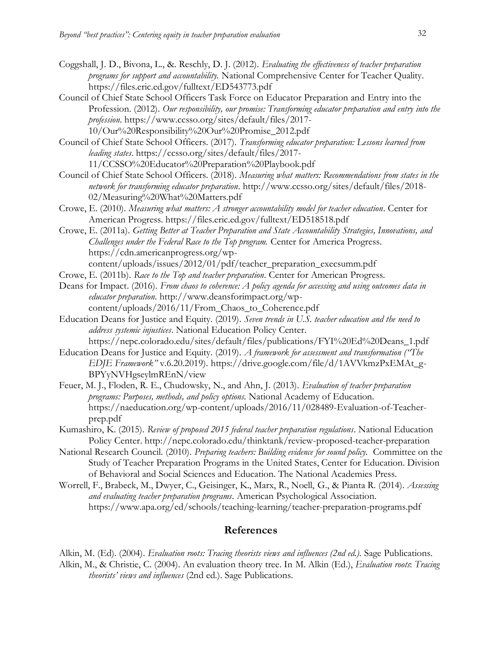- Coggshall, J. D., Bivona, L., &. Reschly, D. J. (2012). *Evaluating the effectiveness of teacher preparation programs for support and accountability.* National Comprehensive Center for Teacher Quality. <https://files.eric.ed.gov/fulltext/ED543773.pdf>
- Council of Chief State School Officers Task Force on Educator Preparation and Entry into the Profession. (2012). *Our responsibility, our promise: Transforming educator preparation and entry into the profession*. [https://www.ccsso.org/sites/default/files/2017-](https://www.ccsso.org/sites/default/files/2017-10/Our%20Responsibility%20Our%20Promise_2012.pdf) [10/Our%20Responsibility%20Our%20Promise\\_2012.pdf](https://www.ccsso.org/sites/default/files/2017-10/Our%20Responsibility%20Our%20Promise_2012.pdf)

Council of Chief State School Officers. (2017). *Transforming educator preparation: Lessons learned from leading states*[. https://ccsso.org/sites/default/files/2017-](https://ccsso.org/sites/default/files/2017-11/CCSSO%20Educator%20Preparation%20Playbook.pdf) [11/CCSSO%20Educator%20Preparation%20Playbook.pdf](https://ccsso.org/sites/default/files/2017-11/CCSSO%20Educator%20Preparation%20Playbook.pdf)

- Council of Chief State School Officers. (2018). *Measuring what matters: Recommendations from states in the network for transforming educator preparation*. [http://www.ccsso.org/sites/default/files/2018-](http://www.ccsso.org/sites/default/files/2018-02/Measuring%20What%20Matters.pdf) [02/Measuring%20What%20Matters.pdf](http://www.ccsso.org/sites/default/files/2018-02/Measuring%20What%20Matters.pdf)
- Crowe, E. (2010). *Measuring what matters: A stronger accountability model for teacher education*. Center for American Progress.<https://files.eric.ed.gov/fulltext/ED518518.pdf>

Crowe, E. (2011a). *Getting Better at Teacher Preparation and State Accountability Strategies, Innovations, and Challenges under the Federal Race to the Top program.* Center for America Progress. [https://cdn.americanprogress.org/wp](https://cdn.americanprogress.org/wp-content/uploads/issues/2012/01/pdf/teacher_preparation_execsumm.pdf)[content/uploads/issues/2012/01/pdf/teacher\\_preparation\\_execsumm.pdf](https://cdn.americanprogress.org/wp-content/uploads/issues/2012/01/pdf/teacher_preparation_execsumm.pdf)

- Crowe, E. (2011b). *Race to the Top and teacher preparation*. Center for American Progress.
- Deans for Impact. (2016). *From chaos to coherence: A policy agenda for accessing and using outcomes data in educator preparation*. [http://www.deansforimpact.org/wp](http://www.deansforimpact.org/wp-content/uploads/2016/11/From_Chaos_to_Coherence.pdf)[content/uploads/2016/11/From\\_Chaos\\_to\\_Coherence.pdf](http://www.deansforimpact.org/wp-content/uploads/2016/11/From_Chaos_to_Coherence.pdf)
- Education Deans for Justice and Equity. (2019). *Seven trends in U.S. teacher education and the need to address systemic injustices*. National Education Policy Center. [https://nepc.colorado.edu/sites/default/files/publications/FYI%20Ed%20Deans\\_1.pdf](https://nepc.colorado.edu/sites/default/files/publications/FYI%20Ed%20Deans_1.pdf)
- Education Deans for Justice and Equity. (2019). *A framework for assessment and transformation ("The EDJE Framework"* v.6.20.2019). [https://drive.google.com/file/d/1AVVkmzPxEMAt\\_g-](https://drive.google.com/file/d/1AVVkmzPxEMAt_g-BPYyNVHgseylmREnN/view)[BPYyNVHgseylmREnN/view](https://drive.google.com/file/d/1AVVkmzPxEMAt_g-BPYyNVHgseylmREnN/view)
- Feuer, M. J., Floden, R. E., Chudowsky, N., and Ahn, J. (2013). *Evaluation of teacher preparation programs: Purposes, methods, and policy options.* National Academy of Education. https://naeducation.org/wp-content/uploads/2016/11/028489-Evaluation-of-Teacherprep.pdf
- Kumashiro, K. (2015). *Review of proposed 2015 federal teacher preparation regulations*. National Education Policy Center. <http://nepc.colorado.edu/thinktank/review-proposed-teacher-preparation>
- National Research Council. (2010). *Preparing teachers: Building evidence for sound policy.* Committee on the Study of Teacher Preparation Programs in the United States, Center for Education. Division of Behavioral and Social Sciences and Education. The National Academies Press.
- Worrell, F., Brabeck, M., Dwyer, C., Geisinger, K., Marx, R., Noell, G., & Pianta R. (2014). *Assessing and evaluating teacher preparation programs*. American Psychological Association. <https://www.apa.org/ed/schools/teaching-learning/teacher-preparation-programs.pdf>

#### **References**

Alkin, M. (Ed). (2004). *Evaluation roots: Tracing theorists views and influences (2nd ed.).* Sage Publications. Alkin, M., & Christie, C. (2004). An evaluation theory tree. In M. Alkin (Ed.), *Evaluation roots*: *Tracing theorists' views and influences* (2nd ed.). Sage Publications.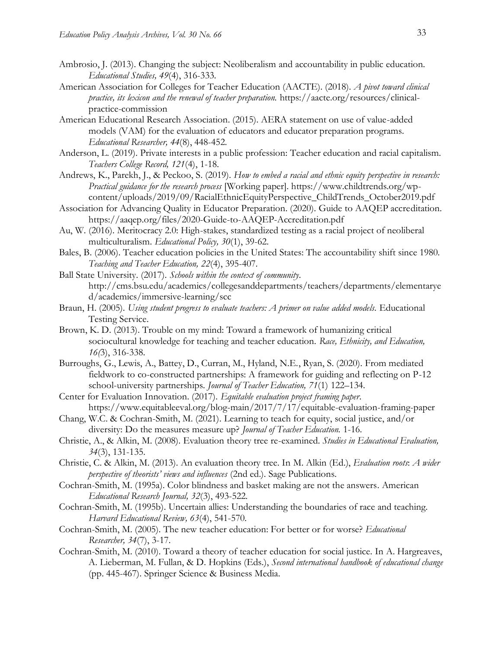- Ambrosio, J. (2013). Changing the subject: Neoliberalism and accountability in public education. *Educational Studies, 49*(4), 316-333.
- American Association for Colleges for Teacher Education (AACTE). (2018). *A pivot toward clinical practice, its lexicon and the renewal of teacher preparation.* https://aacte.org/resources/clinicalpractice-commission
- American Educational Research Association. (2015). AERA statement on use of value-added models (VAM) for the evaluation of educators and educator preparation programs. *Educational Researcher, 44*(8), 448-452.
- Anderson, L. (2019). Private interests in a public profession: Teacher education and racial capitalism. *Teachers College Record, 121*(4), 1-18.
- Andrews, K., Parekh, J., & Peckoo, S. (2019). *How to embed a racial and ethnic equity perspective in research: Practical guidance for the research process* [Working paper]*.* [https://www.childtrends.org/wp](https://www.childtrends.org/wp-content/uploads/2019/09/RacialEthnicEquityPerspective_ChildTrends_October2019.pdf)[content/uploads/2019/09/RacialEthnicEquityPerspective\\_ChildTrends\\_October2019.pdf](https://www.childtrends.org/wp-content/uploads/2019/09/RacialEthnicEquityPerspective_ChildTrends_October2019.pdf)
- Association for Advancing Quality in Educator Preparation. (2020). Guide to AAQEP accreditation. <https://aaqep.org/files/2020-Guide-to-AAQEP-Accreditation.pdf>
- Au, W. (2016). Meritocracy 2.0: High-stakes, standardized testing as a racial project of neoliberal multiculturalism. *Educational Policy, 30*(1), 39-62.
- Bales, B. (2006). Teacher education policies in the United States: The accountability shift since 1980. *Teaching and Teacher Education, 22*(4), 395-407.
- Ball State University. (2017). *Schools within the context of community*. http://cms.bsu.edu/academics/collegesanddepartments/teachers/departments/elementarye d/academics/immersive-learning/scc
- Braun, H. (2005). *Using student progress to evaluate teachers: A primer on value added models.* Educational Testing Service.
- Brown, K. D. (2013). Trouble on my mind: Toward a framework of humanizing critical sociocultural knowledge for teaching and teacher education. *Race, Ethnicity, and Education, 16(*3), 316-338.
- Burroughs, G., Lewis, A., Battey, D., Curran, M., Hyland, N.E., Ryan, S. (2020). From mediated fieldwork to co-constructed partnerships: A framework for guiding and reflecting on P-12 school-university partnerships*. Journal of Teacher Education, 71*(1) 122–134.
- Center for Evaluation Innovation. (2017). *Equitable evaluation project framing paper*. <https://www.equitableeval.org/blog-main/2017/7/17/equitable-evaluation-framing-paper>
- Chang, W.C. & Cochran-Smith, M. (2021). Learning to teach for equity, social justice, and/or diversity: Do the measures measure up? *Journal of Teacher Education.* 1-16.
- Christie, A., & Alkin, M. (2008). Evaluation theory tree re-examined. *Studies in Educational Evaluation, 34*(3), 131-135.
- Christie, C. & Alkin, M. (2013). An evaluation theory tree. In M. Alkin (Ed.), *Evaluation roots*: *A wider perspective of theorists' views and influences* (2nd ed.). Sage Publications.
- Cochran-Smith, M. (1995a). Color blindness and basket making are not the answers. American *Educational Research Journal, 32*(3), 493-522.
- Cochran-Smith, M. (1995b). Uncertain allies: Understanding the boundaries of race and teaching. *Harvard Educational Review, 63*(4), 541-570.
- Cochran-Smith, M. (2005). The new teacher education: For better or for worse? *Educational Researcher, 34*(7), 3-17.
- Cochran-Smith, M. (2010). Toward a theory of teacher education for social justice. In A. Hargreaves, A. Lieberman, M. Fullan, & D. Hopkins (Eds.), *Second international handbook of educational change* (pp. 445-467). Springer Science & Business Media.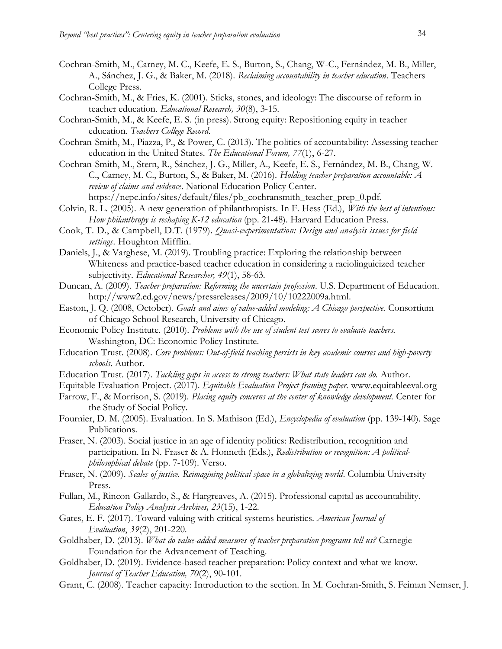- Cochran-Smith, M., Carney, M. C., Keefe, E. S., Burton, S., Chang, W-C., Fernández, M. B., Miller, A., Sánchez, J. G., & Baker, M. (2018). *Reclaiming accountability in teacher education*. Teachers College Press.
- Cochran-Smith, M., & Fries, K. (2001). Sticks, stones, and ideology: The discourse of reform in teacher education. *Educational Research, 30*(8), 3-15.
- Cochran-Smith, M., & Keefe, E. S. (in press). Strong equity: Repositioning equity in teacher education*. Teachers College Record*.
- Cochran-Smith, M., Piazza, P., & Power, C. (2013). The politics of accountability: Assessing teacher education in the United States. *The Educational Forum, 77*(1), 6-27.
- Cochran-Smith, M., Stern, R., Sánchez, J. G., Miller, A., Keefe, E. S., Fernández, M. B., Chang, W. C., Carney, M. C., Burton, S., & Baker, M. (2016). *Holding teacher preparation accountable: A review of claims and evidence*. National Education Policy Center. https://nepc.info/sites/default/files/pb\_cochransmith\_teacher\_prep\_0.pdf.
- Colvin, R. L. (2005). A new generation of philanthropists. In F. Hess (Ed.), *With the best of intentions: How philanthropy is reshaping K-12 education* (pp. 21-48). Harvard Education Press.
- Cook, T. D., & Campbell, D.T. (1979). *Quasi-experimentation: Design and analysis issues for field settings*. Houghton Mifflin.
- Daniels, J., & Varghese, M. (2019). Troubling practice: Exploring the relationship between Whiteness and practice-based teacher education in considering a raciolinguicized teacher subjectivity. *Educational Researcher, 49*(1), 58-63.
- Duncan, A. (2009). *Teacher preparation: Reforming the uncertain profession*. U.S. Department of Education. [http://www2.ed.gov/news/pressreleases/2009/10/10222009a.html.](http://www2.ed.gov/news/pressreleases/2009/10/10222009a.html)
- Easton, J. Q. (2008, October). *Goals and aims of value-added modeling: A Chicago perspective.* Consortium of Chicago School Research, University of Chicago.
- Economic Policy Institute. (2010). *Problems with the use of student test scores to evaluate teachers.* Washington, DC: Economic Policy Institute.
- Education Trust. (2008). *Core problems: Out-of-field teaching persists in key academic courses and high-poverty schools*. Author.
- Education Trust. (2017). *Tackling gaps in access to strong teachers: What state leaders can do.* Author.
- Equitable Evaluation Project. (2017). *Equitable Evaluation Project framing paper.* www.equitableeval.org
- Farrow, F., & Morrison, S. (2019). *Placing equity concerns at the center of knowledge development.* Center for the Study of Social Policy.
- Fournier, D. M. (2005). Evaluation. In S. Mathison (Ed.), *Encyclopedia of evaluation* (pp. 139-140). Sage Publications.
- Fraser, N. (2003). Social justice in an age of identity politics: Redistribution, recognition and participation. In N. Fraser & A. Honneth (Eds.), *Redistribution or recognition: A politicalphilosophical debate* (pp. 7-109). Verso.
- Fraser, N. (2009). *Scales of justice. Reimagining political space in a globalizing world*. Columbia University Press.
- Fullan, M., Rincon-Gallardo, S., & Hargreaves, A. (2015). Professional capital as accountability. *Education Policy Analysis Archives, 23*(15), 1-22.
- Gates, E. F. (2017). Toward valuing with critical systems heuristics. *American Journal of Evaluation*, *39*(2), 201-220.
- Goldhaber, D. (2013). *What do value-added measures of teacher preparation programs tell us?* Carnegie Foundation for the Advancement of Teaching.
- Goldhaber, D. (2019). Evidence-based teacher preparation: Policy context and what we know. *Journal of Teacher Education, 70*(2), 90-101.
- Grant, C. (2008). Teacher capacity: Introduction to the section. In M. Cochran-Smith, S. Feiman Nemser, J.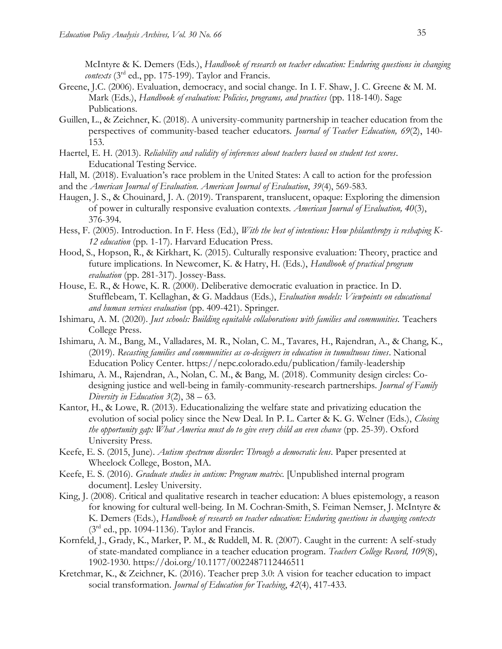McIntyre & K. Demers (Eds.), *Handbook of research on teacher education: Enduring questions in changing contexts* (3rd ed., pp. 175-199). Taylor and Francis.

- Greene, J.C. (2006). Evaluation, democracy, and social change. In I. F. Shaw, J. C. Greene & M. M. Mark (Eds.), *Handbook of evaluation: Policies, programs, and practices* (pp. 118-140). Sage Publications.
- Guillen, L., & Zeichner, K. (2018). A university-community partnership in teacher education from the perspectives of community-based teacher educators. *Journal of Teacher Education, 69*(2), 140- 153.
- Haertel, E. H. (2013). *Reliability and validity of inferences about teachers based on student test scores*. Educational Testing Service.
- Hall, M. (2018). Evaluation's race problem in the United States: A call to action for the profession
- and the *American Journal of Evaluation. American Journal of Evaluation*, *39*(4), 569-583.
- Haugen, J. S., & Chouinard, J. A. (2019). Transparent, translucent, opaque: Exploring the dimension of power in culturally responsive evaluation contexts. *American Journal of Evaluation, 40*(3), 376-394.
- Hess, F. (2005). Introduction. In F. Hess (Ed.), *With the best of intentions: How philanthropy is reshaping K-12 education* (pp. 1-17). Harvard Education Press.
- Hood, S., Hopson, R., & Kirkhart, K. (2015). Culturally responsive evaluation: Theory, practice and future implications. In Newcomer, K. & Hatry, H. (Eds.), *Handbook of practical program evaluation* (pp. 281-317). Jossey-Bass.
- House, E. R., & Howe, K. R. (2000). Deliberative democratic evaluation in practice. In D. Stufflebeam, T. Kellaghan, & G. Maddaus (Eds.), *Evaluation models: Viewpoints on educational and human services evaluation* (pp. 409-421). Springer.
- Ishimaru, A. M. (2020). *Just schools: Building equitable collaborations with families and communities.* Teachers College Press.
- Ishimaru, A. M., Bang, M., Valladares, M. R., Nolan, C. M., Tavares, H., Rajendran, A., & Chang, K., (2019). *Recasting families and communities as co-designers in education in tumultuous times*. National Education Policy Center.<https://nepc.colorado.edu/publication/family-leadership>
- Ishimaru, A. M., Rajendran, A., Nolan, C. M., & Bang, M. (2018). Community design circles: Codesigning justice and well-being in family-community-research partnerships*. Journal of Family Diversity in Education 3*(2), 38 – 63.
- Kantor, H., & Lowe, R. (2013). Educationalizing the welfare state and privatizing education the evolution of social policy since the New Deal. In P. L. Carter & K. G. Welner (Eds.), *Closing the opportunity gap: What America must do to give every child an even chance* (pp. 25-39). Oxford University Press.
- Keefe, E. S. (2015, June). *Autism spectrum disorder: Through a democratic lens*. Paper presented at Wheelock College, Boston, MA.
- Keefe, E. S. (2016). *Graduate studies in autism: Program matrix*. [Unpublished internal program document]. Lesley University.
- King, J. (2008). Critical and qualitative research in teacher education: A blues epistemology, a reason for knowing for cultural well-being. In M. Cochran-Smith, S. Feiman Nemser, J. McIntyre & K. Demers (Eds.), *Handbook of research on teacher education: Enduring questions in changing contexts*  $(3<sup>rd</sup>$  ed., pp. 1094-1136). Taylor and Francis.
- Kornfeld, J., Grady, K., Marker, P. M., & Ruddell, M. R. (2007). Caught in the current: A self-study of state-mandated compliance in a teacher education program. *Teachers College Record, 109*(8), 1902-1930. https://doi.org/10.1177/0022487112446511
- Kretchmar, K., & Zeichner, K. (2016). Teacher prep 3.0: A vision for teacher education to impact social transformation. *Journal of Education for Teaching*, *42*(4), 417-433.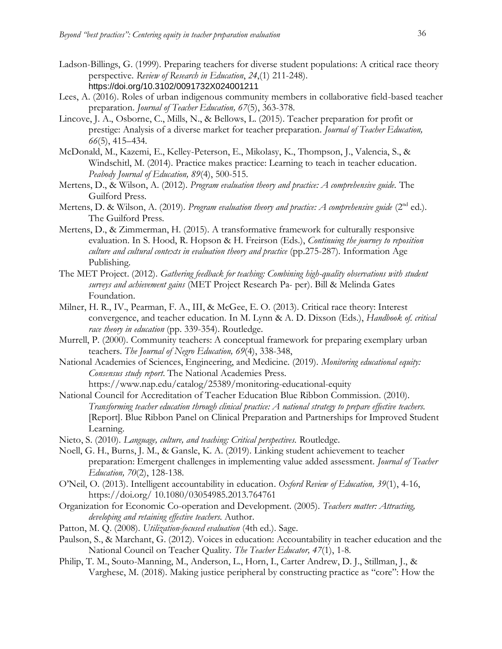- Ladson-Billings, G. (1999). Preparing teachers for diverse student populations: A critical race theory perspective. *Review of Research in Education*, *24*,(1) 211-248). [https://doi.org/10.3102/0091732X024001211](https://doi.org/10.3102%2F0091732X024001211)
- Lees, A. (2016). Roles of urban indigenous community members in collaborative field-based teacher preparation. *Journal of Teacher Education, 67*(5), 363-378.
- Lincove, J. A., Osborne, C., Mills, N., & Bellows, L. (2015). Teacher preparation for profit or prestige: Analysis of a diverse market for teacher preparation. *Journal of Teacher Education, 66*(5), 415–434.
- McDonald, M., Kazemi, E., Kelley-Peterson, E., Mikolasy, K., Thompson, J., Valencia, S., & Windschitl, M. (2014). Practice makes practice: Learning to teach in teacher education. *Peabody Journal of Education, 89*(4), 500-515.
- Mertens, D., & Wilson, A. (2012). *Program evaluation theory and practice: A comprehensive guide.* The Guilford Press.
- Mertens, D. & Wilson, A. (2019). *Program evaluation theory and practice: A comprehensive guide* (2<sup>nd</sup> ed.). The Guilford Press.
- Mertens, D., & Zimmerman, H. (2015). A transformative framework for culturally responsive evaluation. In S. Hood, R. Hopson & H. Freirson (Eds.), *Continuing the journey to reposition culture and cultural contexts in evaluation theory and practice* (pp.275-287)*.* Information Age Publishing.
- The MET Project. (2012). *Gathering feedback for teaching: Combining high-quality observations with student surveys and achievement gains* (MET Project Research Pa- per). Bill & Melinda Gates Foundation.
- Milner, H. R., IV., Pearman, F. A., III, & McGee, E. O. (2013). Critical race theory: Interest convergence, and teacher education. In M. Lynn & A. D. Dixson (Eds.), *Handbook of. critical race theory in education* (pp. 339-354). Routledge.
- Murrell, P. (2000). Community teachers: A conceptual framework for preparing exemplary urban teachers. *The Journal of Negro Education, 69*(4), 338-348,
- National Academies of Sciences, Engineering, and Medicine. (2019). *Monitoring educational equity: Consensus study report*. The National Academies Press. https://www.nap.edu/catalog/25389/monitoring-educational-equity
- National Council for Accreditation of Teacher Education Blue Ribbon Commission. (2010). *Transforming teacher education through clinical practice: A national strategy to prepare effective teachers.*  [Report]. Blue Ribbon Panel on Clinical Preparation and Partnerships for Improved Student Learning.
- Nieto, S. (2010). *Language, culture, and teaching: Critical perspectives.* Routledge.
- Noell, G. H., Burns, J. M., & Gansle, K. A. (2019). Linking student achievement to teacher preparation: Emergent challenges in implementing value added assessment. *Journal of Teacher Education, 70*(2), 128-138.
- O'Neil, O. (2013). Intelligent accountability in education. *Oxford Review of Education, 39*(1), 4-16, https://doi.org/ 10.1080/03054985.2013.764761
- Organization for Economic Co-operation and Development. (2005). *Teachers matter: Attracting, developing and retaining effective teachers.* Author.
- Patton, M. Q. (2008). *Utilization-focused evaluation* (4th ed.). Sage.
- Paulson, S., & Marchant, G. (2012). Voices in education: Accountability in teacher education and the National Council on Teacher Quality. *The Teacher Educator, 47*(1), 1-8.
- Philip, T. M., Souto-Manning, M., Anderson, L., Horn, I., Carter Andrew, D. J., Stillman, J., & Varghese, M. (2018). Making justice peripheral by constructing practice as "core": How the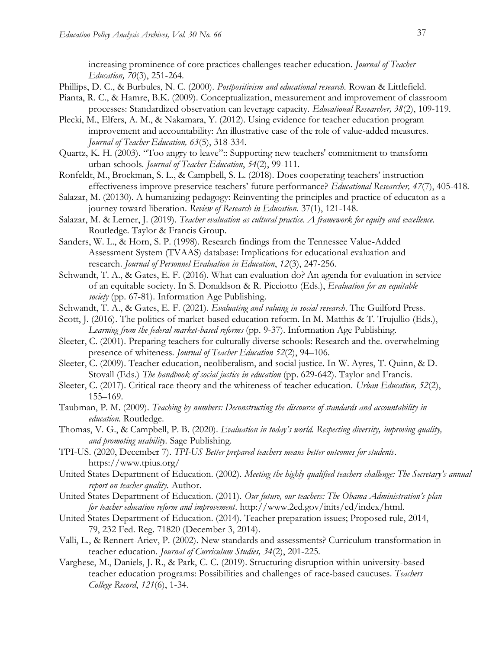increasing prominence of core practices challenges teacher education. *Journal of Teacher Education, 70*(3), 251-264.

- Phillips, D. C., & Burbules, N. C. (2000). *Postpositivism and educational research.* Rowan & Littlefield.
- Pianta, R. C., & Hamre, B.K. (2009). Conceptualization, measurement and improvement of classroom processes: Standardized observation can leverage capacity. *Educational Researcher, 38*(2), 109-119.
- Plecki, M., Elfers, A. M., & Nakamara, Y. (2012). Using evidence for teacher education program improvement and accountability: An illustrative case of the role of value-added measures. *Journal of Teacher Education, 63*(5), 318-334.
- Quartz, K. H. (2003). "Too angry to leave":: Supporting new teachers' commitment to transform urban schools. *Journal of Teacher Education*, *54*(2), 99-111.
- Ronfeldt, M., Brockman, S. L., & Campbell, S. L. (2018). Does cooperating teachers' instruction effectiveness improve preservice teachers' future performance? *Educational Researcher, 47*(7), 405-418.
- Salazar, M. (20130). A humanizing pedagogy: Reinventing the principles and practice of educaton as a journey toward liberation. *Review of Research in Education.* 37(1), 121-148.
- Salazar, M. & Lerner, J. (2019). *Teacher evaluation as cultural practice. A framework for equity and excellence.*  Routledge. Taylor & Francis Group.
- Sanders, W. L., & Horn, S. P. (1998). Research findings from the Tennessee Value-Added Assessment System (TVAAS) database: Implications for educational evaluation and research. *Journal of Personnel Evaluation in Education*, *12*(3), 247-256.
- Schwandt, T. A., & Gates, E. F. (2016). What can evaluation do? An agenda for evaluation in service of an equitable society. In S. Donaldson & R. Picciotto (Eds.), *Evaluation for an equitable society* (pp. 67-81). Information Age Publishing.
- Schwandt, T. A., & Gates, E. F. (2021). *Evaluating and valuing in social research*. The Guilford Press.
- Scott, J. (2016). The politics of market-based education reform. In M. Matthis & T. Trujullio (Eds.), *Learning from the federal market-based reforms* (pp. 9-37). Information Age Publishing.
- Sleeter, C. (2001). Preparing teachers for culturally diverse schools: Research and the. overwhelming presence of whiteness. *Journal of Teacher Education 52*(2), 94–106.
- Sleeter, C. (2009). Teacher education, neoliberalism, and social justice. In W. Ayres, T. Quinn, & D. Stovall (Eds.) *The handbook of social justice in education* (pp. 629-642). Taylor and Francis.
- Sleeter, C. (2017). Critical race theory and the whiteness of teacher education. *Urban Education, 52*(2), 155–169.
- Taubman, P. M. (2009). *Teaching by numbers: Deconstructing the discourse of standards and accountability in education*. Routledge.
- Thomas, V. G., & Campbell, P. B. (2020). *Evaluation in today's world. Respecting diversity, improving quality, and promoting usability.* Sage Publishing.
- TPI-US. (2020, December 7). *TPI-US Better prepared teachers means better outcomes for students*. https://www.tpius.org/
- United States Department of Education. (2002). *Meeting the highly qualified teachers challenge: The Secretary's annual report on teacher quality.* Author.
- United States Department of Education. (2011). *Our future, our teachers: The Obama Administration's plan for teacher education reform and improvement*. [http://www.2ed.gov/inits/ed/index/html.](http://www.2ed.gov/inits/ed/index/html)
- United States Department of Education. (2014). Teacher preparation issues; Proposed rule, 2014, 79, 232 Fed. Reg. 71820 (December 3, 2014).
- Valli, L., & Rennert-Ariev, P. (2002). New standards and assessments? Curriculum transformation in teacher education. *Journal of Curriculum Studies, 34*(2), 201-225.
- Varghese, M., Daniels, J. R., & Park, C. C. (2019). Structuring disruption within university-based teacher education programs: Possibilities and challenges of race-based caucuses. *Teachers College Record*, *121*(6), 1-34.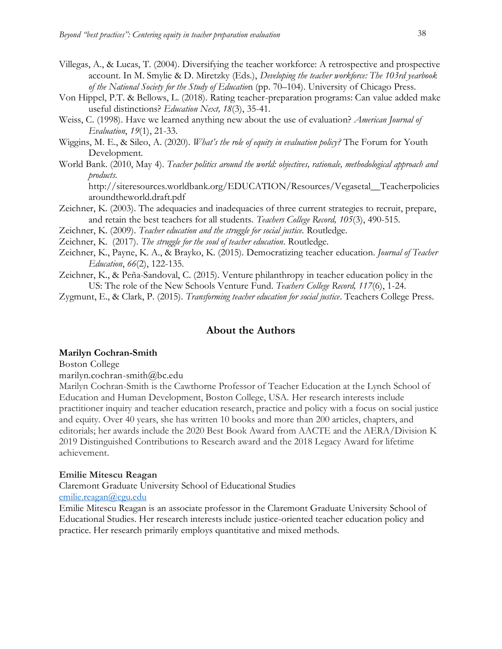- Villegas, A., & Lucas, T. (2004). Diversifying the teacher workforce: A retrospective and prospective account. In M. Smylie & D. Miretzky (Eds.), *Developing the teacher workforce: The 103rd yearbook of the National Society for the Study of Educatio*n (pp. 70–104). University of Chicago Press.
- Von Hippel, P.T. & Bellows, L. (2018). Rating teacher-preparation programs: Can value added make useful distinctions? *Education Next, 18*(3), 35-41.
- Weiss, C. (1998). Have we learned anything new about the use of evaluation? *American Journal of Evaluation*, *19*(1), 21-33.
- Wiggins, M. E., & Sileo, A. (2020). *What's the role of equity in evaluation policy?* The Forum for Youth Development.
- World Bank. (2010, May 4). *Teacher politics around the world: objectives, rationale, methodological approach and products.*

[http://siteresources.worldbank.org/EDUCATION/Resources/Vegasetal\\_\\_Teacherpolicies](http://siteresources.worldbank.org/EDUCATION/Resources/Vegasetal__Teacherpoliciesaroundtheworld.draft.pdf) [aroundtheworld.draft.pdf](http://siteresources.worldbank.org/EDUCATION/Resources/Vegasetal__Teacherpoliciesaroundtheworld.draft.pdf)

- Zeichner, K. (2003). The adequacies and inadequacies of three current strategies to recruit, prepare, and retain the best teachers for all students. *Teachers College Record, 105*(3), 490-515.
- Zeichner, K. (2009). *Teacher education and the struggle for social justice.* Routledge.
- Zeichner, K. (2017). *The struggle for the soul of teacher education*. Routledge.
- Zeichner, K., Payne, K. A., & Brayko, K. (2015). Democratizing teacher education. *Journal of Teacher Education*, *66*(2), 122-135.
- Zeichner, K., & Peña-Sandoval, C. (2015). Venture philanthropy in teacher education policy in the US: The role of the New Schools Venture Fund. *Teachers College Record, 117*(6), 1-24.

Zygmunt, E., & Clark, P. (2015). *Transforming teacher education for social justice*. Teachers College Press.

### **About the Authors**

#### **Marilyn Cochran-Smith**

Boston College

marilyn.cochran-smith@bc.edu

Marilyn Cochran-Smith is the Cawthorne Professor of Teacher Education at the Lynch School of Education and Human Development, Boston College, USA. Her research interests include practitioner inquiry and teacher education research, practice and policy with a focus on social justice and equity. Over 40 years, she has written 10 books and more than 200 articles, chapters, and editorials; her awards include the 2020 Best Book Award from AACTE and the AERA/Division K 2019 Distinguished Contributions to Research award and the 2018 Legacy Award for lifetime achievement.

#### **Emilie Mitescu Reagan**

Claremont Graduate University School of Educational Studies [emilie.reagan@cgu.edu](mailto:emilie.reagan@cgu.edu)

Emilie Mitescu Reagan is an associate professor in the Claremont Graduate University School of Educational Studies. Her research interests include justice-oriented teacher education policy and practice. Her research primarily employs quantitative and mixed methods.